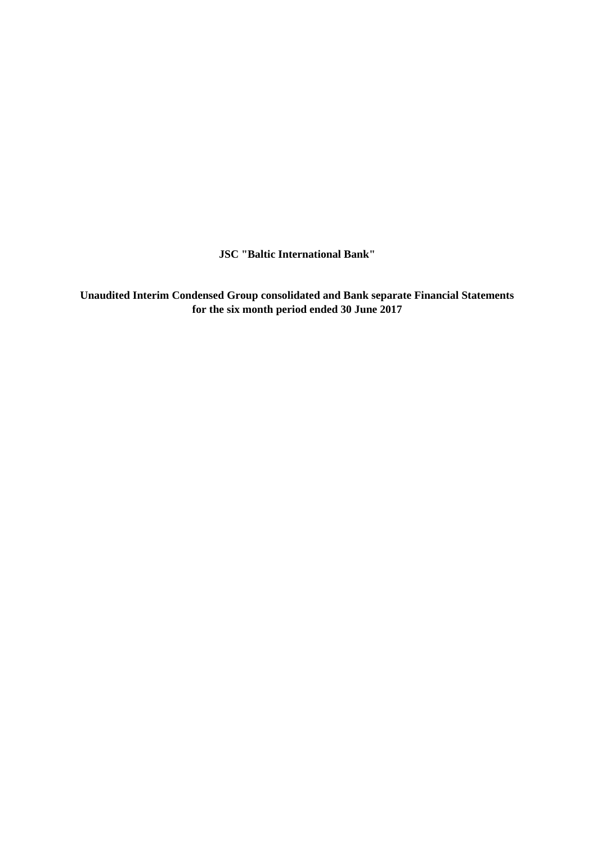**JSC "Baltic International Bank"**

**Unaudited Interim Condensed Group consolidated and Bank separate Financial Statements for the six month period ended 30 June 2017**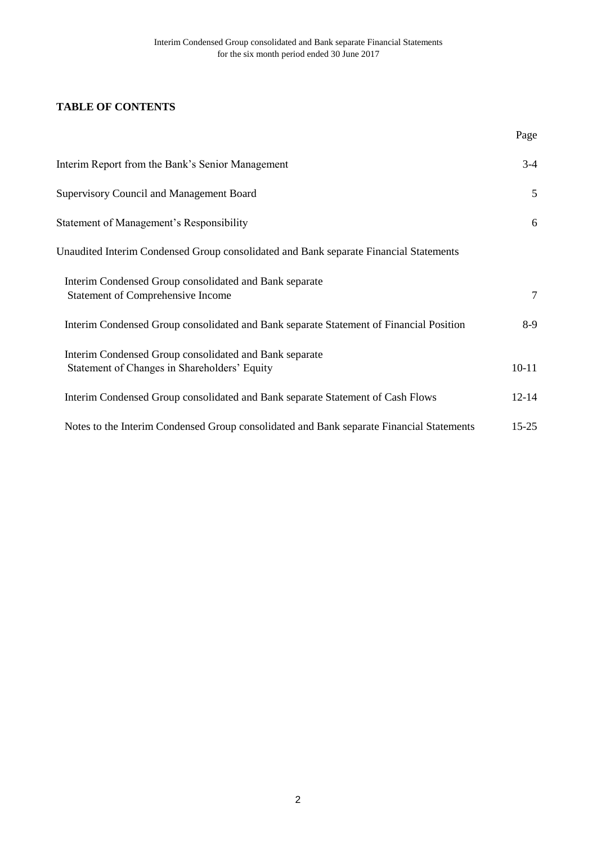# **TABLE OF CONTENTS**

|                                                                                                        | Page      |
|--------------------------------------------------------------------------------------------------------|-----------|
| Interim Report from the Bank's Senior Management                                                       | $3-4$     |
| <b>Supervisory Council and Management Board</b>                                                        | 5         |
| Statement of Management's Responsibility                                                               | 6         |
| Unaudited Interim Condensed Group consolidated and Bank separate Financial Statements                  |           |
| Interim Condensed Group consolidated and Bank separate<br><b>Statement of Comprehensive Income</b>     | $\tau$    |
| Interim Condensed Group consolidated and Bank separate Statement of Financial Position                 | 8-9       |
| Interim Condensed Group consolidated and Bank separate<br>Statement of Changes in Shareholders' Equity | $10 - 11$ |
| Interim Condensed Group consolidated and Bank separate Statement of Cash Flows                         | $12 - 14$ |
| Notes to the Interim Condensed Group consolidated and Bank separate Financial Statements               | $15 - 25$ |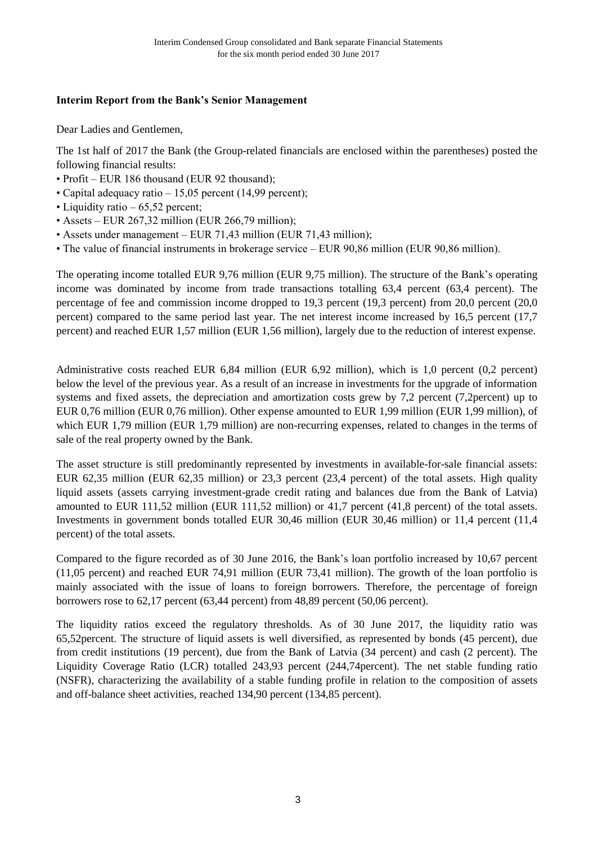## **Interim Report from the Bank's Senior Management**

Dear Ladies and Gentlemen,

The 1st half of 2017 the Bank (the Group-related financials are enclosed within the parentheses) posted the following financial results:

- Profit EUR 186 thousand (EUR 92 thousand);
- Capital adequacy ratio 15,05 percent (14,99 percent);
- Liquidity ratio 65,52 percent;
- Assets EUR 267,32 million (EUR 266,79 million);
- Assets under management EUR 71,43 million (EUR 71,43 million);
- The value of financial instruments in brokerage service EUR 90,86 million (EUR 90,86 million).

The operating income totalled EUR 9,76 million (EUR 9,75 million). The structure of the Bank's operating income was dominated by income from trade transactions totalling 63,4 percent (63,4 percent). The percentage of fee and commission income dropped to 19,3 percent (19,3 percent) from 20,0 percent (20,0 percent) compared to the same period last year. The net interest income increased by 16,5 percent (17,7 percent) and reached EUR 1,57 million (EUR 1,56 million), largely due to the reduction of interest expense.

Administrative costs reached EUR 6,84 million (EUR 6,92 million), which is 1,0 percent (0,2 percent) below the level of the previous year. As a result of an increase in investments for the upgrade of information systems and fixed assets, the depreciation and amortization costs grew by 7,2 percent (7,2percent) up to EUR 0,76 million (EUR 0,76 million). Other expense amounted to EUR 1,99 million (EUR 1,99 million), of which EUR 1,79 million (EUR 1,79 million) are non-recurring expenses, related to changes in the terms of sale of the real property owned by the Bank.

The asset structure is still predominantly represented by investments in available-for-sale financial assets: EUR 62,35 million (EUR 62,35 million) or 23,3 percent (23,4 percent) of the total assets. High quality liquid assets (assets carrying investment-grade credit rating and balances due from the Bank of Latvia) amounted to EUR 111,52 million (EUR 111,52 million) or 41,7 percent (41,8 percent) of the total assets. Investments in government bonds totalled EUR 30,46 million (EUR 30,46 million) or 11,4 percent (11,4 percent) of the total assets.

Compared to the figure recorded as of 30 June 2016, the Bank's loan portfolio increased by 10,67 percent (11,05 percent) and reached EUR 74,91 million (EUR 73,41 million). The growth of the loan portfolio is mainly associated with the issue of loans to foreign borrowers. Therefore, the percentage of foreign borrowers rose to 62,17 percent (63,44 percent) from 48,89 percent (50,06 percent).

The liquidity ratios exceed the regulatory thresholds. As of 30 June 2017, the liquidity ratio was 65,52percent. The structure of liquid assets is well diversified, as represented by bonds (45 percent), due from credit institutions (19 percent), due from the Bank of Latvia (34 percent) and cash (2 percent). The Liquidity Coverage Ratio (LCR) totalled 243,93 percent (244,74percent). The net stable funding ratio (NSFR), characterizing the availability of a stable funding profile in relation to the composition of assets and off-balance sheet activities, reached 134,90 percent (134,85 percent).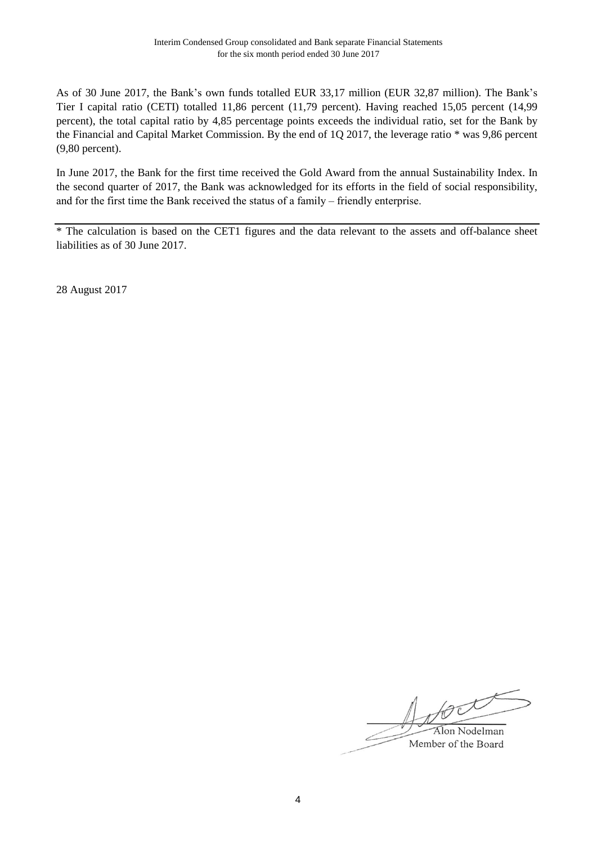As of 30 June 2017, the Bank's own funds totalled EUR 33,17 million (EUR 32,87 million). The Bank's Tier I capital ratio (CETI) totalled 11,86 percent (11,79 percent). Having reached 15,05 percent (14,99 percent), the total capital ratio by 4,85 percentage points exceeds the individual ratio, set for the Bank by the Financial and Capital Market Commission. By the end of 1Q 2017, the leverage ratio \* was 9,86 percent (9,80 percent).

In June 2017, the Bank for the first time received the Gold Award from the annual Sustainability Index. In the second quarter of 2017, the Bank was acknowledged for its efforts in the field of social responsibility, and for the first time the Bank received the status of a family – friendly enterprise.

\* The calculation is based on the CET1 figures and the data relevant to the assets and off-balance sheet liabilities as of 30 June 2017.

28 August 2017

for Alon Nodelman

Member of the Board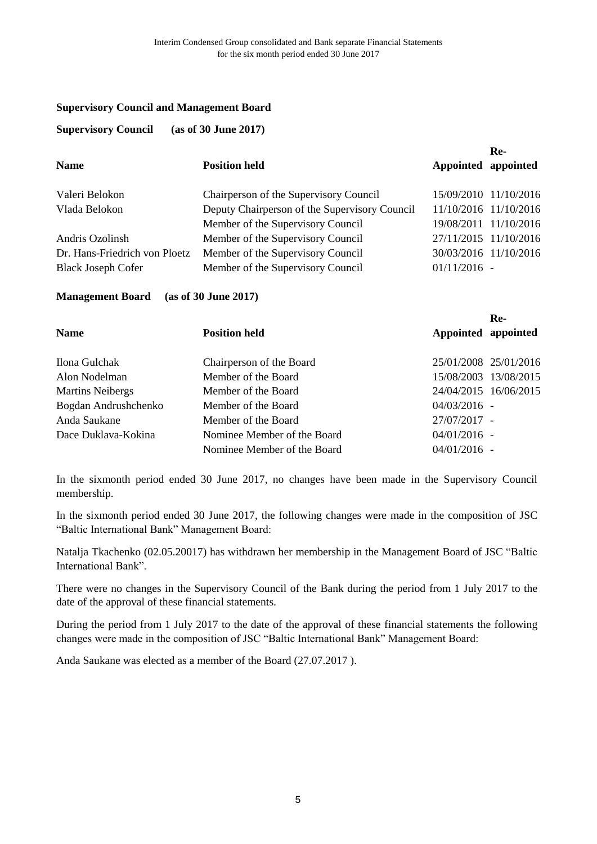#### **Supervisory Council and Management Board**

#### **Supervisory Council (as of 30 June 2017)**

|                               |                                               |                       | Re-                   |
|-------------------------------|-----------------------------------------------|-----------------------|-----------------------|
| <b>Name</b>                   | <b>Position held</b>                          | Appointed appointed   |                       |
| Valeri Belokon                | Chairperson of the Supervisory Council        |                       | 15/09/2010 11/10/2016 |
| Vlada Belokon                 | Deputy Chairperson of the Supervisory Council |                       | 11/10/2016 11/10/2016 |
|                               | Member of the Supervisory Council             |                       | 19/08/2011 11/10/2016 |
| Andris Ozolinsh               | Member of the Supervisory Council             | 27/11/2015 11/10/2016 |                       |
| Dr. Hans-Friedrich von Ploetz | Member of the Supervisory Council             | 30/03/2016 11/10/2016 |                       |
| <b>Black Joseph Cofer</b>     | Member of the Supervisory Council             | $01/11/2016$ -        |                       |

#### **Management Board (as of 30 June 2017)**

|                         |                             |                       | Re-                   |
|-------------------------|-----------------------------|-----------------------|-----------------------|
| <b>Name</b>             | <b>Position held</b>        | Appointed appointed   |                       |
| Ilona Gulchak           | Chairperson of the Board    | 25/01/2008 25/01/2016 |                       |
| Alon Nodelman           | Member of the Board         |                       | 15/08/2003 13/08/2015 |
| <b>Martins Neibergs</b> | Member of the Board         |                       | 24/04/2015 16/06/2015 |
| Bogdan Andrushchenko    | Member of the Board         | $04/03/2016 -$        |                       |
| Anda Saukane            | Member of the Board         | 27/07/2017 -          |                       |
| Dace Duklava-Kokina     | Nominee Member of the Board | $04/01/2016$ -        |                       |
|                         | Nominee Member of the Board | $04/01/2016$ -        |                       |

In the sixmonth period ended 30 June 2017, no changes have been made in the Supervisory Council membership.

In the sixmonth period ended 30 June 2017, the following changes were made in the composition of JSC "Baltic International Bank" Management Board:

Natalja Tkachenko (02.05.20017) has withdrawn her membership in the Management Board of JSC "Baltic International Bank".

There were no changes in the Supervisory Council of the Bank during the period from 1 July 2017 to the date of the approval of these financial statements.

During the period from 1 July 2017 to the date of the approval of these financial statements the following changes were made in the composition of JSC "Baltic International Bank" Management Board:

Anda Saukane was elected as a member of the Board (27.07.2017 ).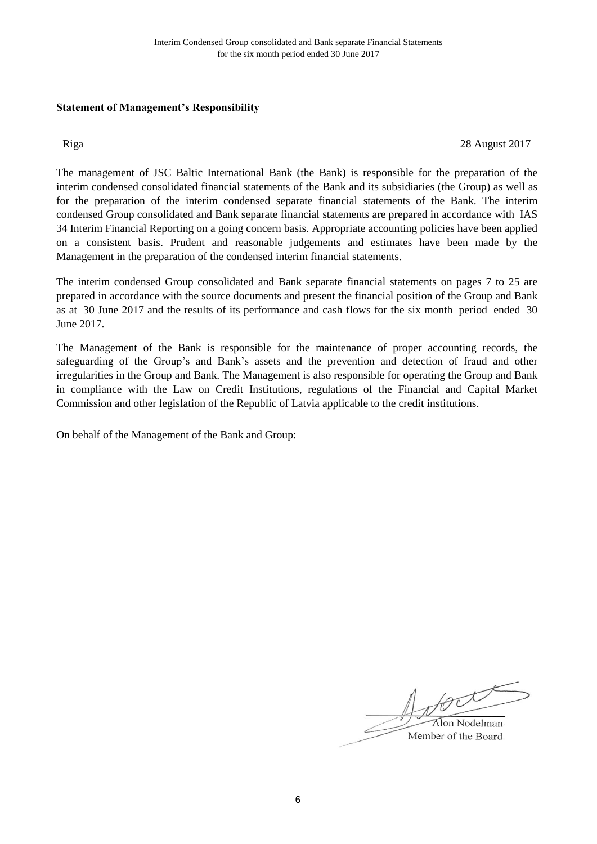## **Statement of Management's Responsibility**

Riga 28 August 2017

The management of JSC Baltic International Bank (the Bank) is responsible for the preparation of the interim condensed consolidated financial statements of the Bank and its subsidiaries (the Group) as well as for the preparation of the interim condensed separate financial statements of the Bank. The interim condensed Group consolidated and Bank separate financial statements are prepared in accordance with IAS 34 Interim Financial Reporting on a going concern basis. Appropriate accounting policies have been applied on a consistent basis. Prudent and reasonable judgements and estimates have been made by the Management in the preparation of the condensed interim financial statements.

The interim condensed Group consolidated and Bank separate financial statements on pages 7 to 25 are prepared in accordance with the source documents and present the financial position of the Group and Bank as at 30 June 2017 and the results of its performance and cash flows for the six month period ended 30 June 2017.

The Management of the Bank is responsible for the maintenance of proper accounting records, the safeguarding of the Group's and Bank's assets and the prevention and detection of fraud and other irregularities in the Group and Bank. The Management is also responsible for operating the Group and Bank in compliance with the Law on Credit Institutions, regulations of the Financial and Capital Market Commission and other legislation of the Republic of Latvia applicable to the credit institutions.

On behalf of the Management of the Bank and Group:

NOC Alon Nodelman Member of the Board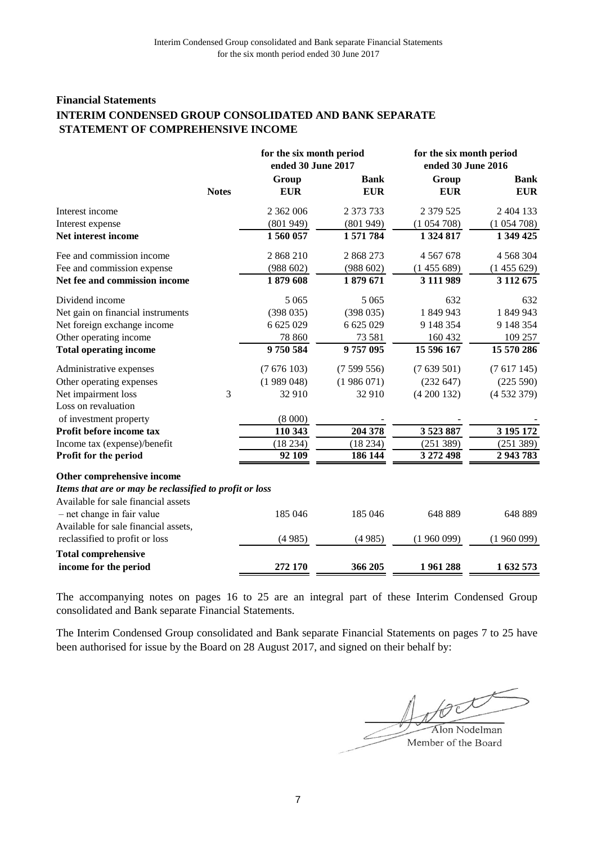## **Financial Statements INTERIM CONDENSED GROUP CONSOLIDATED AND BANK SEPARATE STATEMENT OF COMPREHENSIVE INCOME**

|                                                         |              | for the six month period |             | for the six month period |               |  |
|---------------------------------------------------------|--------------|--------------------------|-------------|--------------------------|---------------|--|
|                                                         |              | ended 30 June 2017       |             | ended 30 June 2016       |               |  |
|                                                         |              | Group                    | <b>Bank</b> | Group                    | <b>Bank</b>   |  |
|                                                         | <b>Notes</b> | <b>EUR</b>               | <b>EUR</b>  | <b>EUR</b>               | <b>EUR</b>    |  |
| Interest income                                         |              | 2 362 006                | 2 373 733   | 2 379 525                | 2 404 133     |  |
| Interest expense                                        |              | (801949)                 | (801949)    | (1054708)                | (1054708)     |  |
| Net interest income                                     |              | 1560057                  | 1571784     | 1 324 817                | 1 349 425     |  |
| Fee and commission income                               |              | 2868210                  | 2 868 273   | 4 5 6 7 6 7 8            | 4 5 68 3 04   |  |
| Fee and commission expense                              |              | (988602)                 | (988602)    | (1455689)                | (1455629)     |  |
| Net fee and commission income                           |              | 1879608                  | 1879 671    | 3 111 989                | 3 1 1 2 6 7 5 |  |
| Dividend income                                         |              | 5 0 6 5                  | 5 0 6 5     | 632                      | 632           |  |
| Net gain on financial instruments                       |              | (398035)                 | (398035)    | 1849943                  | 1849943       |  |
| Net foreign exchange income                             |              | 6 625 029                | 6 625 029   | 9 148 354                | 9 148 354     |  |
| Other operating income                                  |              | 78 860                   | 73 581      | 160 432                  | 109 257       |  |
| <b>Total operating income</b>                           |              | 9750584                  | 9757095     | 15 596 167               | 15 570 286    |  |
| Administrative expenses                                 |              | (7676103)                | (7599556)   | (7639501)                | (7617145)     |  |
| Other operating expenses                                |              | (1989048)                | (1986071)   | (232 647)                | (225 590)     |  |
| Net impairment loss                                     | 3            | 32 910                   | 32 910      | (4200132)                | (4532379)     |  |
| Loss on revaluation                                     |              |                          |             |                          |               |  |
| of investment property                                  |              | (8000)                   |             |                          |               |  |
| Profit before income tax                                |              | 110 343                  | 204 378     | 3 523 887                | 3 195 172     |  |
| Income tax (expense)/benefit                            |              | (18234)                  | (18234)     | (251 389)                | (251 389)     |  |
| Profit for the period                                   |              | 92 109                   | 186 144     | 3 272 498                | 2943783       |  |
| Other comprehensive income                              |              |                          |             |                          |               |  |
| Items that are or may be reclassified to profit or loss |              |                          |             |                          |               |  |
| Available for sale financial assets                     |              |                          |             |                          |               |  |
| $-$ net change in fair value                            |              | 185 046                  | 185 046     | 648 889                  | 648 889       |  |
| Available for sale financial assets,                    |              |                          |             |                          |               |  |
| reclassified to profit or loss                          |              | (4985)                   | (4985)      | (1960099)                | (1960099)     |  |
| <b>Total comprehensive</b>                              |              |                          |             |                          |               |  |
| income for the period                                   |              | 272 170                  | 366 205     | 1961288                  | 1632573       |  |

The accompanying notes on pages 16 to 25 are an integral part of these Interim Condensed Group consolidated and Bank separate Financial Statements.

The Interim Condensed Group consolidated and Bank separate Financial Statements on pages 7 to 25 have been authorised for issue by the Board on 28 August 2017, and signed on their behalf by:

 $\frac{1}{2}$  Nodelman

Member of the Board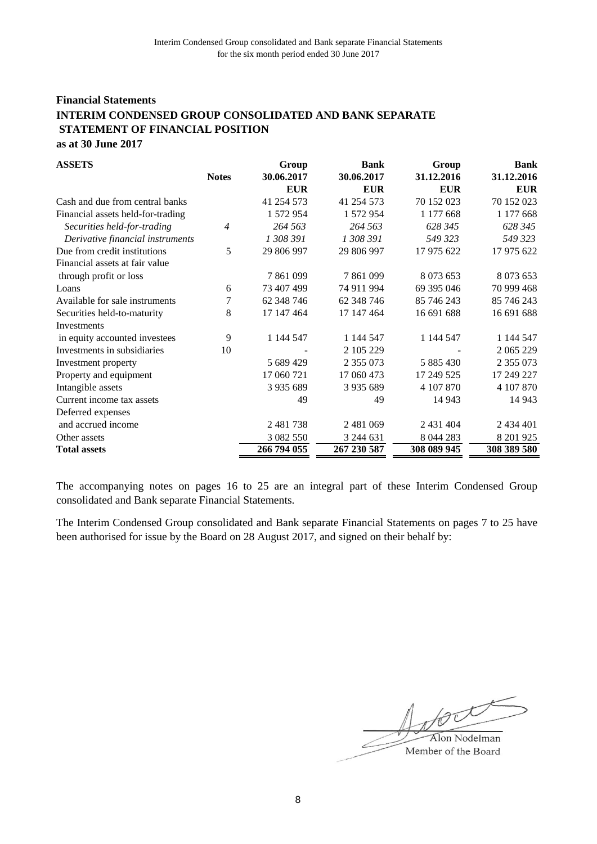## **Financial Statements as at 30 June 2017 INTERIM CONDENSED GROUP CONSOLIDATED AND BANK SEPARATE STATEMENT OF FINANCIAL POSITION**

| <b>ASSETS</b>                     |              | Group         | <b>Bank</b>   | Group       | <b>Bank</b>   |
|-----------------------------------|--------------|---------------|---------------|-------------|---------------|
|                                   | <b>Notes</b> | 30.06.2017    | 30.06.2017    | 31.12.2016  | 31.12.2016    |
|                                   |              | <b>EUR</b>    | <b>EUR</b>    | <b>EUR</b>  | <b>EUR</b>    |
| Cash and due from central banks   |              | 41 254 573    | 41 254 573    | 70 152 023  | 70 152 023    |
| Financial assets held-for-trading |              | 1 572 954     | 1 572 954     | 1 177 668   | 1 177 668     |
| Securities held-for-trading       | 4            | 264 563       | 264 563       | 628 345     | 628 345       |
| Derivative financial instruments  |              | 1 308 391     | 1 308 391     | 549 323     | 549 323       |
| Due from credit institutions      | 5            | 29 806 997    | 29 806 997    | 17 975 622  | 17 975 622    |
| Financial assets at fair value    |              |               |               |             |               |
| through profit or loss            |              | 7861099       | 7 861 099     | 8 0 73 6 53 | 8 0 73 6 53   |
| Loans                             | 6            | 73 407 499    | 74 911 994    | 69 395 046  | 70 999 468    |
| Available for sale instruments    | 7            | 62 348 746    | 62 348 746    | 85 746 243  | 85 746 243    |
| Securities held-to-maturity       | 8            | 17 147 464    | 17 147 464    | 16 691 688  | 16 691 688    |
| Investments                       |              |               |               |             |               |
| in equity accounted investees     | 9            | 1 144 547     | 1 144 547     | 1 144 547   | 1 144 547     |
| Investments in subsidiaries       | 10           |               | 2 105 229     |             | 2 065 229     |
| Investment property               |              | 5 689 429     | 2 355 073     | 5 885 430   | 2 3 5 5 0 7 3 |
| Property and equipment            |              | 17 060 721    | 17 060 473    | 17 249 525  | 17 249 227    |
| Intangible assets                 |              | 3 9 3 5 6 8 9 | 3 9 3 5 6 8 9 | 4 107 870   | 4 107 870     |
| Current income tax assets         |              | 49            | 49            | 14 943      | 14 9 43       |
| Deferred expenses                 |              |               |               |             |               |
| and accrued income                |              | 2 481 738     | 2 481 069     | 2 431 404   | 2 434 401     |
| Other assets                      |              | 3 082 550     | 3 244 631     | 8 044 283   | 8 201 9 25    |
| <b>Total assets</b>               |              | 266 794 055   | 267 230 587   | 308 089 945 | 308 389 580   |

The accompanying notes on pages 16 to 25 are an integral part of these Interim Condensed Group consolidated and Bank separate Financial Statements.

The Interim Condensed Group consolidated and Bank separate Financial Statements on pages 7 to 25 have been authorised for issue by the Board on 28 August 2017, and signed on their behalf by:

book Alon Nodelman Member of the Board

8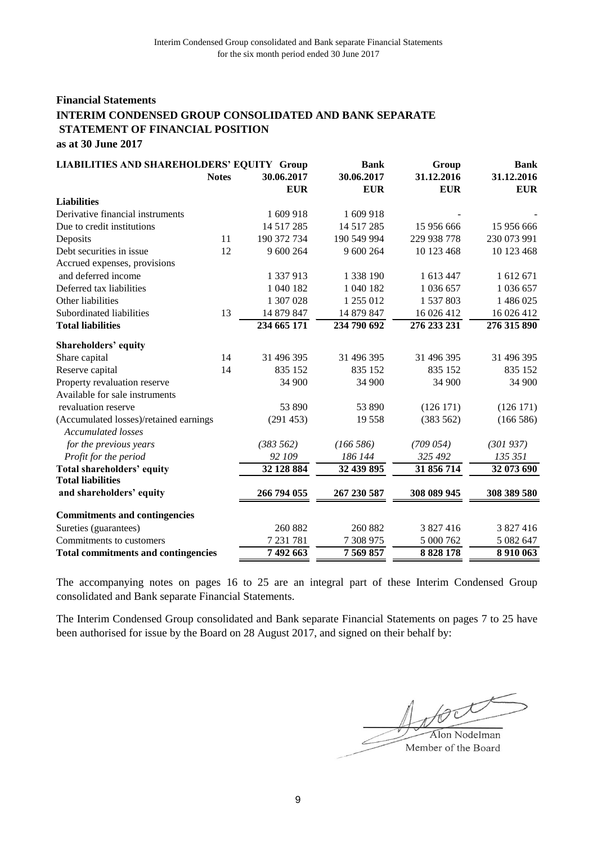## **Financial Statements as at 30 June 2017 INTERIM CONDENSED GROUP CONSOLIDATED AND BANK SEPARATE STATEMENT OF FINANCIAL POSITION**

| <b>LIABILITIES AND SHAREHOLDERS' EQUITY Group</b>            |              |                          | <b>Bank</b>              | Group                    | <b>Bank</b>              |  |
|--------------------------------------------------------------|--------------|--------------------------|--------------------------|--------------------------|--------------------------|--|
|                                                              | <b>Notes</b> | 30.06.2017<br><b>EUR</b> | 30.06.2017<br><b>EUR</b> | 31.12.2016<br><b>EUR</b> | 31.12.2016<br><b>EUR</b> |  |
| <b>Liabilities</b>                                           |              |                          |                          |                          |                          |  |
| Derivative financial instruments                             |              | 1 609 918                | 1 609 918                |                          |                          |  |
| Due to credit institutions                                   |              | 14 5 17 28 5             | 14 5 17 28 5             | 15 956 666               | 15 956 666               |  |
| Deposits                                                     | 11           | 190 372 734              | 190 549 994              | 229 938 778              | 230 073 991              |  |
| Debt securities in issue                                     | 12           | 9 600 264                | 9 600 264                | 10 123 468               | 10 123 468               |  |
| Accrued expenses, provisions                                 |              |                          |                          |                          |                          |  |
| and deferred income                                          |              | 1 337 913                | 1 338 190                | 1 613 447                | 1 612 671                |  |
| Deferred tax liabilities                                     |              | 1 040 182                | 1 040 182                | 1 036 657                | 1 036 657                |  |
| Other liabilities                                            |              | 1 307 028                | 1 255 012                | 1 537 803                | 1 486 025                |  |
| Subordinated liabilities                                     | 13           | 14 879 847               | 14 879 847               | 16 026 412               | 16 026 412               |  |
| <b>Total liabilities</b>                                     |              | 234 665 171              | 234 790 692              | 276 233 231              | 276 315 890              |  |
| Shareholders' equity                                         |              |                          |                          |                          |                          |  |
| Share capital                                                | 14           | 31 496 395               | 31 496 395               | 31 496 395               | 31 496 395               |  |
| Reserve capital                                              | 14           | 835 152                  | 835 152                  | 835 152                  | 835 152                  |  |
| Property revaluation reserve                                 |              | 34 900                   | 34 900                   | 34 900                   | 34 900                   |  |
| Available for sale instruments                               |              |                          |                          |                          |                          |  |
| revaluation reserve                                          |              | 53 890                   | 53 890                   | (126171)                 | (126 171)                |  |
| (Accumulated losses)/retained earnings<br>Accumulated losses |              | (291 453)                | 19 558                   | (383 562)                | (166586)                 |  |
| for the previous years                                       |              | (383 562)                | (166586)                 | (709054)                 | (301937)                 |  |
| Profit for the period                                        |              | 92 109                   | 186 144                  | 325 492                  | 135 351                  |  |
| <b>Total shareholders' equity</b>                            |              | 32 128 884               | 32 439 895               | 31 856 714               | 32 073 690               |  |
| <b>Total liabilities</b>                                     |              |                          |                          |                          |                          |  |
| and shareholders' equity                                     |              | 266 794 055              | 267 230 587              | 308 089 945              | 308 389 580              |  |
| <b>Commitments and contingencies</b>                         |              |                          |                          |                          |                          |  |
| Sureties (guarantees)                                        |              | 260 882                  | 260 882                  | 3 827 416                | 3 827 416                |  |
| Commitments to customers                                     |              | 7 231 781                | 7 308 975                | 5 000 762                | 5 082 647                |  |
| <b>Total commitments and contingencies</b>                   |              | 7 492 663                | 7 569 857                | 8 8 28 1 78              | 8 9 10 0 63              |  |

The accompanying notes on pages 16 to 25 are an integral part of these Interim Condensed Group consolidated and Bank separate Financial Statements.

The Interim Condensed Group consolidated and Bank separate Financial Statements on pages 7 to 25 have been authorised for issue by the Board on 28 August 2017, and signed on their behalf by:

tock Alon Nodelman

Member of the Board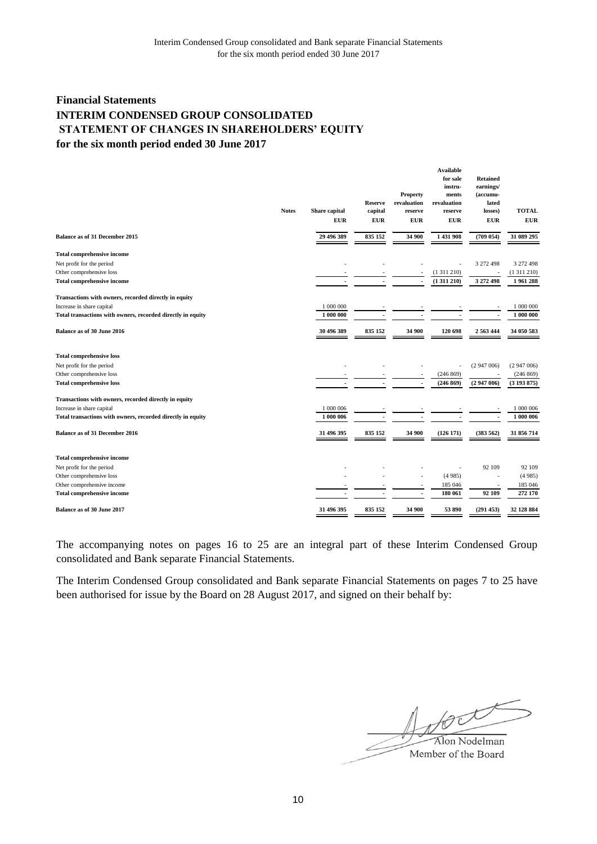# **Financial Statements for the six month period ended 30 June 2017 INTERIM CONDENSED GROUP CONSOLIDATED STATEMENT OF CHANGES IN SHAREHOLDERS' EQUITY**

|                                                             | <b>Notes</b> | <b>Share</b> capital | <b>Reserve</b><br>capital | Property<br>revaluation<br>reserve | <b>Available</b><br>for sale<br>instru-<br>ments<br>revaluation<br>reserve | <b>Retained</b><br>earnings/<br>(accumu-<br>lated<br>losses) | <b>TOTAL</b> |
|-------------------------------------------------------------|--------------|----------------------|---------------------------|------------------------------------|----------------------------------------------------------------------------|--------------------------------------------------------------|--------------|
|                                                             |              | <b>EUR</b>           | <b>EUR</b>                | <b>EUR</b>                         | <b>EUR</b>                                                                 | ${\bf E} {\bf U} {\bf R}$                                    | <b>EUR</b>   |
| <b>Balance as of 31 December 2015</b>                       |              | 29 496 389           | 835 152                   | 34 900                             | 1 431 908                                                                  | (709 054)                                                    | 31 089 295   |
| <b>Total comprehensive income</b>                           |              |                      |                           |                                    |                                                                            |                                                              |              |
| Net profit for the period                                   |              |                      |                           |                                    |                                                                            | 3 272 498                                                    | 3 272 498    |
| Other comprehensive loss                                    |              |                      |                           |                                    | (1311210)                                                                  |                                                              | (1311210)    |
| <b>Total comprehensive income</b>                           |              |                      |                           | ÷,                                 | (1311210)                                                                  | 3 272 498                                                    | 1961288      |
| Transactions with owners, recorded directly in equity       |              |                      |                           |                                    |                                                                            |                                                              |              |
| Increase in share capital                                   |              | 1 000 000            |                           |                                    |                                                                            |                                                              | 1 000 000    |
| Total transactions with owners, recorded directly in equity |              | 1 000 000            |                           |                                    |                                                                            |                                                              | 1 000 000    |
| Balance as of 30 June 2016                                  |              | 30 496 389           | 835 152                   | 34 900                             | 120 698                                                                    | 2 5 6 3 4 4 4                                                | 34 050 583   |
| <b>Total comprehensive loss</b>                             |              |                      |                           |                                    |                                                                            |                                                              |              |
| Net profit for the period                                   |              |                      |                           |                                    |                                                                            | (2947006)                                                    | (2947006)    |
| Other comprehensive loss                                    |              |                      |                           |                                    | (246 869)                                                                  |                                                              | (246 869)    |
| <b>Total comprehensive loss</b>                             |              | $\blacksquare$       | $\blacksquare$            | $\overline{\phantom{a}}$           | (246 869)                                                                  | (2947006)                                                    | (3193875)    |
| Transactions with owners, recorded directly in equity       |              |                      |                           |                                    |                                                                            |                                                              |              |
| Increase in share capital                                   |              | 1 000 006            |                           |                                    |                                                                            |                                                              | 1 000 006    |
| Total transactions with owners, recorded directly in equity |              | 1 000 006            |                           |                                    |                                                                            | $\overline{\phantom{a}}$                                     | 1 000 006    |
| <b>Balance as of 31 December 2016</b>                       |              | 31 496 395           | 835 152                   | 34 900                             | (126171)                                                                   | (383 562)                                                    | 31 856 714   |
| <b>Total comprehensive income</b>                           |              |                      |                           |                                    |                                                                            |                                                              |              |
| Net profit for the period                                   |              |                      |                           |                                    |                                                                            | 92 109                                                       | 92 109       |
| Other comprehensive loss                                    |              |                      |                           |                                    | (4985)                                                                     |                                                              | (4985)       |
| Other comprehensive income                                  |              |                      |                           |                                    | 185 046                                                                    |                                                              | 185 046      |
| <b>Total comprehensive income</b>                           |              |                      |                           | ٠                                  | 180 061                                                                    | 92 109                                                       | 272 170      |
| <b>Balance as of 30 June 2017</b>                           |              | 31 496 395           | 835 152                   | 34 900                             | 53 890                                                                     | (291453)                                                     | 32 128 884   |

The accompanying notes on pages 16 to 25 are an integral part of these Interim Condensed Group consolidated and Bank separate Financial Statements.

The Interim Condensed Group consolidated and Bank separate Financial Statements on pages 7 to 25 have been authorised for issue by the Board on 28 August 2017, and signed on their behalf by:

Alon Nodelman Member of the Board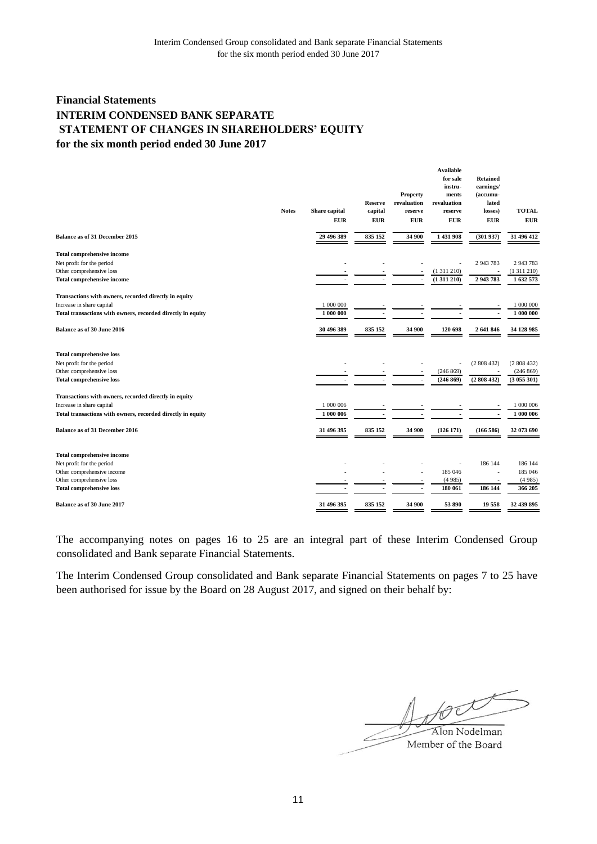# **Financial Statements for the six month period ended 30 June 2017 INTERIM CONDENSED BANK SEPARATE STATEMENT OF CHANGES IN SHAREHOLDERS' EQUITY**

|                                                                                          | <b>Notes</b> | Share capital          | <b>Reserve</b><br>capital | Property<br>revaluation<br>reserve | <b>Available</b><br>for sale<br>instru-<br>ments<br>revaluation<br>reserve | <b>Retained</b><br>earnings/<br>(accumu-<br>lated<br>losses) | <b>TOTAL</b>           |
|------------------------------------------------------------------------------------------|--------------|------------------------|---------------------------|------------------------------------|----------------------------------------------------------------------------|--------------------------------------------------------------|------------------------|
|                                                                                          |              | <b>EUR</b>             | ${\bf EUR}$               | <b>EUR</b>                         | <b>EUR</b>                                                                 | <b>EUR</b>                                                   | <b>EUR</b>             |
|                                                                                          |              |                        |                           |                                    |                                                                            |                                                              |                        |
| Balance as of 31 December 2015                                                           |              | 29 496 389             | 835 152                   | 34 900                             | 1 431 908                                                                  | (301937)                                                     | 31 496 412             |
| <b>Total comprehensive income</b>                                                        |              |                        |                           |                                    |                                                                            |                                                              |                        |
| Net profit for the period                                                                |              |                        |                           |                                    |                                                                            | 2 943 783                                                    | 2 943 783              |
| Other comprehensive loss                                                                 |              |                        |                           |                                    | (1311210)                                                                  |                                                              | (1311210)              |
| <b>Total comprehensive income</b>                                                        |              |                        |                           | $\overline{\phantom{a}}$           | (1311210)                                                                  | 2 943 783                                                    | 1632573                |
| Transactions with owners, recorded directly in equity                                    |              |                        |                           |                                    |                                                                            |                                                              |                        |
| Increase in share capital                                                                |              | 1 000 000              |                           |                                    |                                                                            |                                                              | 1 000 000              |
| Total transactions with owners, recorded directly in equity                              |              | 1 000 000              |                           |                                    |                                                                            | $\overline{\phantom{a}}$                                     | 1 000 000              |
| Balance as of 30 June 2016                                                               |              | 30 496 389             | 835 152                   | 34 900                             | 120 698                                                                    | 2 641 846                                                    | 34 128 985             |
| <b>Total comprehensive loss</b>                                                          |              |                        |                           |                                    |                                                                            |                                                              |                        |
| Net profit for the period                                                                |              |                        |                           |                                    |                                                                            | (2808432)                                                    | (2808432)              |
| Other comprehensive loss                                                                 |              |                        |                           |                                    | (246 869)                                                                  |                                                              | (246 869)              |
| <b>Total comprehensive loss</b>                                                          |              |                        |                           | $\overline{\phantom{a}}$           | (246 869)                                                                  | (2808432)                                                    | (3055301)              |
|                                                                                          |              |                        |                           |                                    |                                                                            |                                                              |                        |
| Transactions with owners, recorded directly in equity                                    |              |                        |                           |                                    |                                                                            |                                                              |                        |
| Increase in share capital<br>Total transactions with owners, recorded directly in equity |              | 1 000 006<br>1 000 006 |                           |                                    |                                                                            | ÷,                                                           | 1 000 006<br>1 000 006 |
|                                                                                          |              |                        |                           |                                    |                                                                            |                                                              |                        |
| <b>Balance as of 31 December 2016</b>                                                    |              | 31 496 395             | 835 152                   | 34 900                             | (126171)                                                                   | (166586)                                                     | 32 073 690             |
| <b>Total comprehensive income</b>                                                        |              |                        |                           |                                    |                                                                            |                                                              |                        |
| Net profit for the period                                                                |              |                        |                           |                                    |                                                                            | 186 144                                                      | 186 144                |
| Other comprehensive income                                                               |              |                        |                           |                                    | 185 046                                                                    |                                                              | 185 046                |
| Other comprehensive loss                                                                 |              |                        |                           |                                    | (4985)                                                                     |                                                              | (4985)                 |
| <b>Total comprehensive loss</b>                                                          |              |                        |                           | Ĭ.                                 | 180 061                                                                    | 186 144                                                      | 366 205                |
| Balance as of 30 June 2017                                                               |              | 31 496 395             | 835 152                   | 34 900                             | 53 890                                                                     | 19558                                                        | 32 439 895             |

The accompanying notes on pages 16 to 25 are an integral part of these Interim Condensed Group consolidated and Bank separate Financial Statements.

The Interim Condensed Group consolidated and Bank separate Financial Statements on pages 7 to 25 have been authorised for issue by the Board on 28 August 2017, and signed on their behalf by:

tout Alon Nodelman

Member of the Board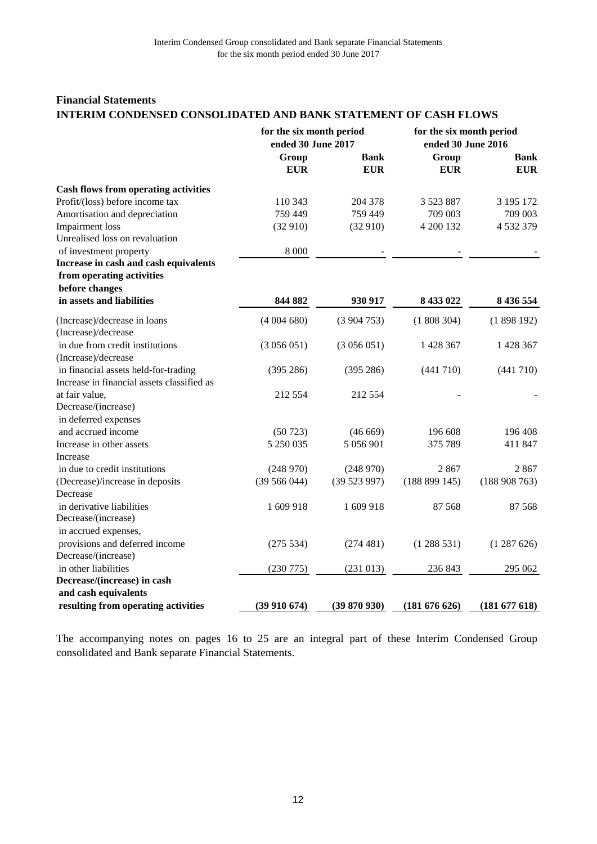## **Financial Statements INTERIM CONDENSED CONSOLIDATED AND BANK STATEMENT OF CASH FLOWS**

|                                                                                    |                     | for the six month period<br>for the six month period<br>ended 30 June 2017<br>ended 30 June 2016 |                     |                           |  |
|------------------------------------------------------------------------------------|---------------------|--------------------------------------------------------------------------------------------------|---------------------|---------------------------|--|
|                                                                                    | Group<br><b>EUR</b> | <b>Bank</b><br><b>EUR</b>                                                                        | Group<br><b>EUR</b> | <b>Bank</b><br><b>EUR</b> |  |
| <b>Cash flows from operating activities</b>                                        |                     |                                                                                                  |                     |                           |  |
| Profit/(loss) before income tax                                                    | 110 343             | 204 378                                                                                          | 3 5 2 3 8 8 7       | 3 195 172                 |  |
| Amortisation and depreciation                                                      | 759 449             | 759 449                                                                                          | 709 003             | 709 003                   |  |
| Impairment loss                                                                    | (32910)             | (32910)                                                                                          | 4 200 132           | 4 532 379                 |  |
| Unrealised loss on revaluation                                                     |                     |                                                                                                  |                     |                           |  |
| of investment property                                                             | 8 0 0 0             |                                                                                                  |                     |                           |  |
| Increase in cash and cash equivalents                                              |                     |                                                                                                  |                     |                           |  |
| from operating activities                                                          |                     |                                                                                                  |                     |                           |  |
| before changes                                                                     |                     |                                                                                                  |                     |                           |  |
| in assets and liabilities                                                          | 844 882             | 930 917                                                                                          | 8 433 022           | 8 436 554                 |  |
| (Increase)/decrease in loans<br>(Increase)/decrease                                | (4004680)           | (3904753)                                                                                        | (1808304)           | (1898192)                 |  |
| in due from credit institutions<br>(Increase)/decrease                             | (3056051)           | (3056051)                                                                                        | 1 428 367           | 1 428 367                 |  |
| in financial assets held-for-trading<br>Increase in financial assets classified as | (395 286)           | (395 286)                                                                                        | (441 710)           | (441 710)                 |  |
| at fair value,                                                                     | 212 554             | 212 554                                                                                          |                     |                           |  |
| Decrease/(increase)                                                                |                     |                                                                                                  |                     |                           |  |
| in deferred expenses                                                               |                     |                                                                                                  |                     |                           |  |
| and accrued income                                                                 | (50723)             | (46669)                                                                                          | 196 608             | 196 408                   |  |
| Increase in other assets                                                           | 5 250 035           | 5 056 901                                                                                        | 375 789             | 411 847                   |  |
| Increase                                                                           |                     |                                                                                                  |                     |                           |  |
| in due to credit institutions                                                      | (248970)            | (248970)                                                                                         | 2867                | 2867                      |  |
| (Decrease)/increase in deposits<br>Decrease                                        | (39 566 044)        | (39523997)                                                                                       | (188 899 145)       | (188908763)               |  |
| in derivative liabilities                                                          | 1609918             | 1 609 918                                                                                        | 87 568              | 87 568                    |  |
| Decrease/(increase)                                                                |                     |                                                                                                  |                     |                           |  |
| in accrued expenses,                                                               |                     |                                                                                                  |                     |                           |  |
| provisions and deferred income<br>Decrease/(increase)                              | (275 534)           | (274 481)                                                                                        | (1288531)           | (1287626)                 |  |
| in other liabilities                                                               | (230 775)           | (231 013)                                                                                        | 236 843             | 295 062                   |  |
| Decrease/(increase) in cash                                                        |                     |                                                                                                  |                     |                           |  |
| and cash equivalents                                                               |                     |                                                                                                  |                     |                           |  |
| resulting from operating activities                                                | (39910674)          | (39 870 930)                                                                                     | (181 676 626)       | (181 677 618)             |  |

The accompanying notes on pages 16 to 25 are an integral part of these Interim Condensed Group consolidated and Bank separate Financial Statements.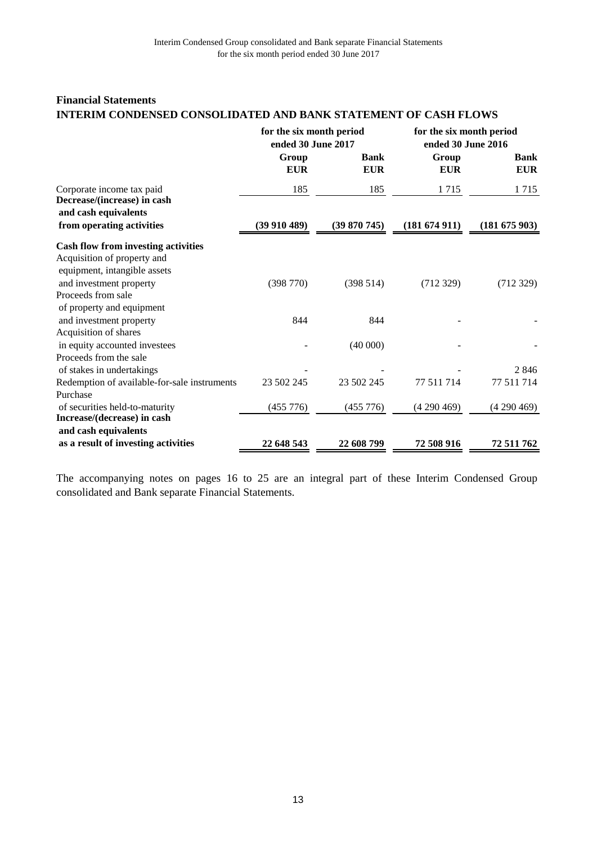## **Financial Statements INTERIM CONDENSED CONSOLIDATED AND BANK STATEMENT OF CASH FLOWS**

|                                                                                                                                      | for the six month period<br>ended 30 June 2017 |                           | for the six month period<br>ended 30 June 2016 |                           |
|--------------------------------------------------------------------------------------------------------------------------------------|------------------------------------------------|---------------------------|------------------------------------------------|---------------------------|
|                                                                                                                                      | Group<br><b>EUR</b>                            | <b>Bank</b><br><b>EUR</b> | Group<br><b>EUR</b>                            | <b>Bank</b><br><b>EUR</b> |
| Corporate income tax paid<br>Decrease/(increase) in cash                                                                             | 185                                            | 185                       | 1715                                           | 1715                      |
| and cash equivalents<br>from operating activities                                                                                    | (39910489)                                     | (39 870 745)              | (181674911)                                    | (181 675 903)             |
| <b>Cash flow from investing activities</b><br>Acquisition of property and<br>equipment, intangible assets<br>and investment property | (398 770)                                      | (398514)                  | (712329)                                       | (712329)                  |
| Proceeds from sale<br>of property and equipment                                                                                      |                                                |                           |                                                |                           |
| and investment property<br>Acquisition of shares                                                                                     | 844                                            | 844                       |                                                |                           |
| in equity accounted investees<br>Proceeds from the sale                                                                              |                                                | (40000)                   |                                                |                           |
| of stakes in undertakings                                                                                                            |                                                |                           |                                                | 2846                      |
| Redemption of available-for-sale instruments<br>Purchase                                                                             | 23 502 245                                     | 23 502 245                | 77 511 714                                     | 77 511 714                |
| of securities held-to-maturity<br>Increase/(decrease) in cash                                                                        | (455 776)                                      | (455 776)                 | (4290469)                                      | (4290469)                 |
| and cash equivalents                                                                                                                 |                                                |                           |                                                |                           |
| as a result of investing activities                                                                                                  | 22 648 543                                     | 22 608 799                | 72 508 916                                     | 72 511 762                |

The accompanying notes on pages 16 to 25 are an integral part of these Interim Condensed Group consolidated and Bank separate Financial Statements.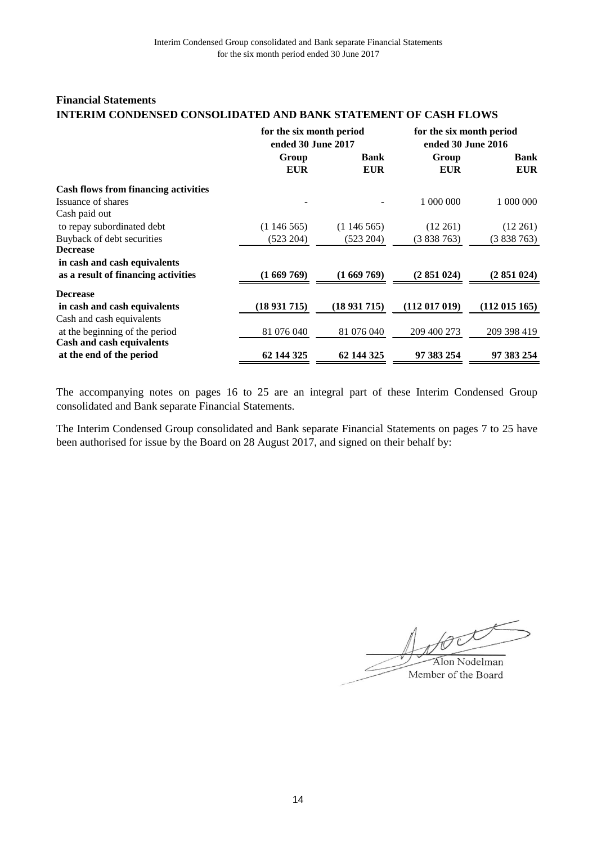## **Financial Statements INTERIM CONDENSED CONSOLIDATED AND BANK STATEMENT OF CASH FLOWS**

|                                             | for the six month period<br>ended 30 June 2017 |             | for the six month period<br>ended 30 June 2016 |               |  |
|---------------------------------------------|------------------------------------------------|-------------|------------------------------------------------|---------------|--|
|                                             | Group                                          | <b>Bank</b> | Group                                          | <b>Bank</b>   |  |
|                                             | <b>EUR</b>                                     | <b>EUR</b>  | <b>EUR</b>                                     | <b>EUR</b>    |  |
| <b>Cash flows from financing activities</b> |                                                |             |                                                |               |  |
| Issuance of shares                          |                                                |             | 1 000 000                                      | 1 000 000     |  |
| Cash paid out                               |                                                |             |                                                |               |  |
| to repay subordinated debt                  | (1146565)                                      | (1146565)   | $(12\ 261)$                                    | $(12\ 261)$   |  |
| Buyback of debt securities                  | (523 204)                                      | (523 204)   | (3838763)                                      | (3838763)     |  |
| <b>Decrease</b>                             |                                                |             |                                                |               |  |
| in cash and cash equivalents                |                                                |             |                                                |               |  |
| as a result of financing activities         | (1669769)                                      | (1669769)   | (2851024)                                      | (2851024)     |  |
| <b>Decrease</b>                             |                                                |             |                                                |               |  |
| in cash and cash equivalents                | (18931715)                                     | (18931715)  | (112017019)                                    | (112 015 165) |  |
| Cash and cash equivalents                   |                                                |             |                                                |               |  |
| at the beginning of the period              | 81 076 040                                     | 81 076 040  | 209 400 273                                    | 209 398 419   |  |
| Cash and cash equivalents                   |                                                |             |                                                |               |  |
| at the end of the period                    | 62 144 325                                     | 62 144 325  | 97 383 254                                     | 97 383 254    |  |

The accompanying notes on pages 16 to 25 are an integral part of these Interim Condensed Group consolidated and Bank separate Financial Statements.

The Interim Condensed Group consolidated and Bank separate Financial Statements on pages 7 to 25 have been authorised for issue by the Board on 28 August 2017, and signed on their behalf by:

 $\bigoplus$   $\bigoplus$   $\bigoplus$  Nodelman Member of the Board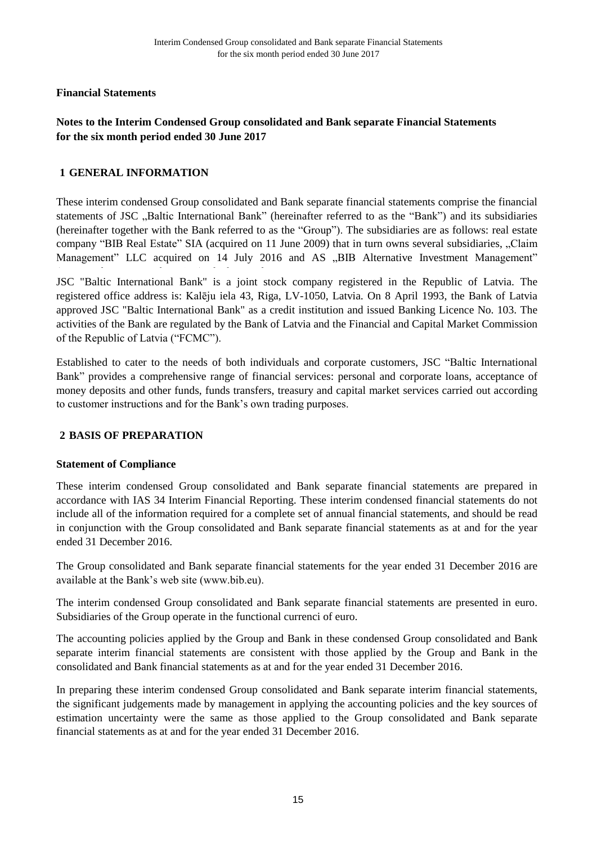## **Notes to the Interim Condensed Group consolidated and Bank separate Financial Statements for the six month period ended 30 June 2017**

## **GENERAL INFORMATION 1**

These interim condensed Group consolidated and Bank separate financial statements comprise the financial statements of JSC ..Baltic International Bank" (hereinafter referred to as the "Bank") and its subsidiaries (hereinafter together with the Bank referred to as the "Group"). The subsidiaries are as follows: real estate company "BIB Real Estate" SIA (acquired on 11 June 2009) that in turn owns several subsidiaries, "Claim Management" LLC acquired on 14 July 2016 and AS "BIB Alternative Investment Management"

JSC "Baltic International Bank" is a joint stock company registered in the Republic of Latvia. The registered office address is: Kalēju iela 43, Riga, LV-1050, Latvia. On 8 April 1993, the Bank of Latvia approved JSC "Baltic International Bank" as a credit institution and issued Banking Licence No. 103. The activities of the Bank are regulated by the Bank of Latvia and the Financial and Capital Market Commission of the Republic of Latvia ("FCMC").

Established to cater to the needs of both individuals and corporate customers, JSC "Baltic International Bank" provides a comprehensive range of financial services: personal and corporate loans, acceptance of money deposits and other funds, funds transfers, treasury and capital market services carried out according to customer instructions and for the Bank's own trading purposes.

## **BASIS OF PREPARATION 2**

## **Statement of Compliance**

These interim condensed Group consolidated and Bank separate financial statements are prepared in accordance with IAS 34 Interim Financial Reporting. These interim condensed financial statements do not include all of the information required for a complete set of annual financial statements, and should be read in conjunction with the Group consolidated and Bank separate financial statements as at and for the year ended 31 December 2016.

The Group consolidated and Bank separate financial statements for the year ended 31 December 2016 are available at the Bank's web site (www.bib.eu).

The interim condensed Group consolidated and Bank separate financial statements are presented in euro. Subsidiaries of the Group operate in the functional currenci of euro.

The accounting policies applied by the Group and Bank in these condensed Group consolidated and Bank separate interim financial statements are consistent with those applied by the Group and Bank in the consolidated and Bank financial statements as at and for the year ended 31 December 2016.

In preparing these interim condensed Group consolidated and Bank separate interim financial statements, the significant judgements made by management in applying the accounting policies and the key sources of estimation uncertainty were the same as those applied to the Group consolidated and Bank separate financial statements as at and for the year ended 31 December 2016.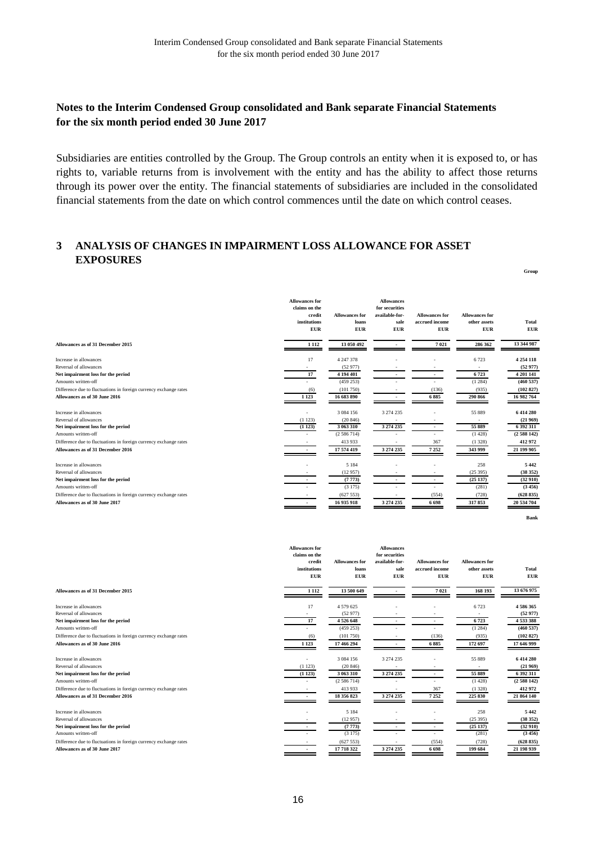## **Notes to the Interim Condensed Group consolidated and Bank separate Financial Statements for the six month period ended 30 June 2017**

Subsidiaries are entities controlled by the Group. The Group controls an entity when it is exposed to, or has rights to, variable returns from is involvement with the entity and has the ability to affect those returns through its power over the entity. The financial statements of subsidiaries are included in the consolidated financial statements from the date on which control commences until the date on which control ceases.

**Group**

**Bank**

#### **ANALYSIS OF CHANGES IN IMPAIRMENT LOSS ALLOWANCE FOR ASSET 3 EXPOSURES**

|                                                                   | <b>Allowances for</b><br>claims on the<br>credit<br>institutions<br><b>EUR</b> | <b>Allowances for</b><br>loans<br><b>EUR</b> | <b>Allowances</b><br>for securities<br>available-for-<br>sale<br><b>EUR</b> | <b>Allowances for</b><br>accrued income<br><b>EUR</b> | <b>Allowances for</b><br>other assets<br><b>EUR</b> | Total<br><b>EUR</b> |
|-------------------------------------------------------------------|--------------------------------------------------------------------------------|----------------------------------------------|-----------------------------------------------------------------------------|-------------------------------------------------------|-----------------------------------------------------|---------------------|
| Allowances as of 31 December 2015                                 | 1 1 1 2                                                                        | 13 050 492                                   |                                                                             | 7021                                                  | 286 362                                             | 13 344 987          |
| Increase in allowances                                            | 17                                                                             | 4 247 378                                    |                                                                             |                                                       | 6723                                                | 4 2 5 4 1 1 8       |
| Reversal of allowances                                            |                                                                                | (52977)                                      |                                                                             |                                                       |                                                     | (52977)             |
| Net impairment loss for the period                                | 17                                                                             | 4 194 401                                    |                                                                             |                                                       | 6723                                                | 4 201 141           |
| Amounts written-off                                               |                                                                                | (459 253)                                    |                                                                             |                                                       | (1284)                                              | (460537)            |
| Difference due to fluctuations in foreign currency exchange rates | (6)                                                                            | (101750)                                     |                                                                             | (136)                                                 | (935)                                               | (102827)            |
| Allowances as of 30 June 2016                                     | 1 1 2 3                                                                        | 16 683 890                                   |                                                                             | 6885                                                  | 290 866                                             | 16 982 764          |
| Increase in allowances                                            | $\sim$                                                                         | 3 0 8 4 1 5 6                                | 3 274 235                                                                   |                                                       | 55 889                                              | 6 414 280           |
| Reversal of allowances                                            | (1123)                                                                         | (20846)                                      |                                                                             |                                                       |                                                     | (21969)             |
| Net impairment loss for the period                                | (1123)                                                                         | 3 063 310                                    | 3 274 235                                                                   |                                                       | 55 889                                              | 6 392 311           |
| Amounts written-off                                               |                                                                                | (2586714)                                    |                                                                             |                                                       | (1428)                                              | (2588142)           |
| Difference due to fluctuations in foreign currency exchange rates |                                                                                | 413 933                                      |                                                                             | 367                                                   | (1328)                                              | 412 972             |
| Allowances as of 31 December 2016                                 |                                                                                | 17 574 419                                   | 3 274 235                                                                   | 7 2 5 2                                               | 343 999                                             | 21 199 905          |
| Increase in allowances                                            |                                                                                | 5 1 8 4                                      |                                                                             |                                                       | 258                                                 | 5 4 4 2             |
| Reversal of allowances                                            |                                                                                | (12957)                                      |                                                                             |                                                       | (25395)                                             | (38352)             |
| Net impairment loss for the period                                |                                                                                | (7773)                                       |                                                                             |                                                       | (25137)                                             | (32910)             |
| Amounts written-off                                               |                                                                                | (3175)                                       |                                                                             |                                                       | (281)                                               | (3456)              |
| Difference due to fluctuations in foreign currency exchange rates |                                                                                | (627553)                                     |                                                                             | (554)                                                 | (728)                                               | (628835)            |
| Allowances as of 30 June 2017                                     |                                                                                | 16 935 918                                   | 3 274 235                                                                   | 6 6 9 8                                               | 317853                                              | 20 534 704          |

|                                                                   | <b>Allowances for</b><br>claims on the<br>credit<br>institutions<br><b>EUR</b> | <b>Allowances for</b><br>loans<br><b>EUR</b> | <b>Allowances</b><br>for securities<br>available-for-<br>sale<br><b>EUR</b> | <b>Allowances for</b><br>accrued income<br><b>EUR</b> | <b>Allowances for</b><br>other assets<br><b>EUR</b> | Total<br><b>EUR</b> |
|-------------------------------------------------------------------|--------------------------------------------------------------------------------|----------------------------------------------|-----------------------------------------------------------------------------|-------------------------------------------------------|-----------------------------------------------------|---------------------|
|                                                                   |                                                                                |                                              |                                                                             |                                                       |                                                     |                     |
| Allowances as of 31 December 2015                                 | 1 1 1 2                                                                        | 13 500 649                                   |                                                                             | 7021                                                  | 168 193                                             | 13 676 975          |
| Increase in allowances                                            | 17                                                                             | 4 579 625                                    |                                                                             |                                                       | 6723                                                | 4586365             |
| Reversal of allowances                                            |                                                                                | (52977)                                      |                                                                             |                                                       |                                                     | (52977)             |
| Net impairment loss for the period                                | 17                                                                             | 4526648                                      |                                                                             |                                                       | 6723                                                | 4533388             |
| Amounts written-off                                               |                                                                                | (459 253)                                    |                                                                             |                                                       | (1284)                                              | (460537)            |
| Difference due to fluctuations in foreign currency exchange rates | (6)                                                                            | (101750)                                     |                                                                             | (136)                                                 | (935)                                               | (102827)            |
| Allowances as of 30 June 2016                                     | 1 1 2 3                                                                        | 17 466 294                                   |                                                                             | 6885                                                  | 172 697                                             | 17 646 999          |
| Increase in allowances                                            | ٠                                                                              | 3 0 8 4 1 5 6                                | 3 274 235                                                                   |                                                       | 55 889                                              | 6 414 280           |
| Reversal of allowances                                            | (1123)                                                                         | (20846)                                      |                                                                             |                                                       |                                                     | (21969)             |
| Net impairment loss for the period                                | (1123)                                                                         | 3 063 310                                    | 3 274 235                                                                   |                                                       | 55 889                                              | 6 392 311           |
| Amounts written-off                                               |                                                                                | (2586714)                                    |                                                                             |                                                       | (1428)                                              | (2588142)           |
| Difference due to fluctuations in foreign currency exchange rates |                                                                                | 413 933                                      |                                                                             | 367                                                   | (1328)                                              | 412 972             |
| Allowances as of 31 December 2016                                 |                                                                                | 18 356 823                                   | 3 274 235                                                                   | 7 2 5 2                                               | 225 830                                             | 21 864 140          |
| Increase in allowances                                            |                                                                                | 5 1 8 4                                      |                                                                             |                                                       | 258                                                 | 5 4 4 2             |
| Reversal of allowances                                            |                                                                                | (12957)                                      |                                                                             |                                                       | (25395)                                             | (38352)             |
| Net impairment loss for the period                                |                                                                                | (7773)                                       |                                                                             |                                                       | (25137)                                             | (32910)             |
| Amounts written-off                                               |                                                                                | (3175)                                       |                                                                             |                                                       | (281)                                               | (3456)              |
| Difference due to fluctuations in foreign currency exchange rates |                                                                                | (627553)                                     |                                                                             | (554)                                                 | (728)                                               | (628835)            |
| Allowances as of 30 June 2017                                     |                                                                                | 17 718 322                                   | 3 274 235                                                                   | 6 6 9 8                                               | 199 684                                             | 21 198 939          |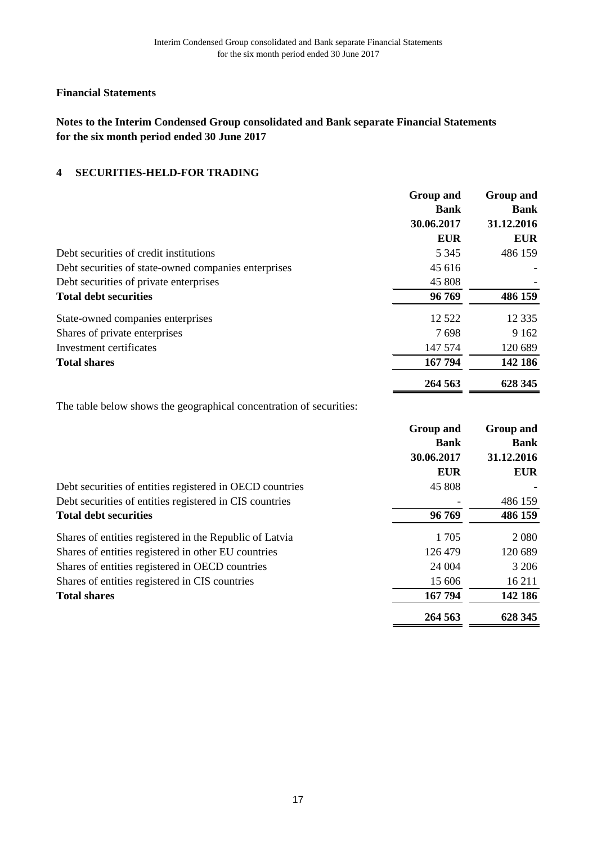# **Notes to the Interim Condensed Group consolidated and Bank separate Financial Statements for the six month period ended 30 June 2017**

#### **SECURITIES-HELD-FOR TRADING 4**

|                                                      | <b>Group and</b> | <b>Group and</b> |
|------------------------------------------------------|------------------|------------------|
|                                                      | <b>Bank</b>      | <b>Bank</b>      |
|                                                      | 30.06.2017       | 31.12.2016       |
|                                                      | <b>EUR</b>       | <b>EUR</b>       |
| Debt securities of credit institutions               | 5 3 4 5          | 486 159          |
| Debt securities of state-owned companies enterprises | 45 616           |                  |
| Debt securities of private enterprises               | 45 808           |                  |
| <b>Total debt securities</b>                         | 96 769           | 486 159          |
| State-owned companies enterprises                    | 12 5 22          | 12 3 3 5         |
| Shares of private enterprises                        | 7698             | 9 1 6 2          |
| Investment certificates                              | 147 574          | 120 689          |
| <b>Total shares</b>                                  | 167 794          | 142 186          |
|                                                      | 264 563          | 628 345          |

The table below shows the geographical concentration of securities:

|                                                          | <b>Group and</b><br><b>Bank</b> | Group and<br><b>Bank</b> |
|----------------------------------------------------------|---------------------------------|--------------------------|
|                                                          | 30.06.2017                      | 31.12.2016               |
|                                                          | <b>EUR</b>                      | <b>EUR</b>               |
| Debt securities of entities registered in OECD countries | 45 808                          |                          |
| Debt securities of entities registered in CIS countries  |                                 | 486 159                  |
| <b>Total debt securities</b>                             | 96 769                          | 486 159                  |
| Shares of entities registered in the Republic of Latvia  | 1 7 0 5                         | 2 0 8 0                  |
| Shares of entities registered in other EU countries      | 126 479                         | 120 689                  |
| Shares of entities registered in OECD countries          | 24 004                          | 3 2 0 6                  |
| Shares of entities registered in CIS countries           | 15 606                          | 16 211                   |
| <b>Total shares</b>                                      | 167 794                         | 142 186                  |
|                                                          | 264 563                         | 628 345                  |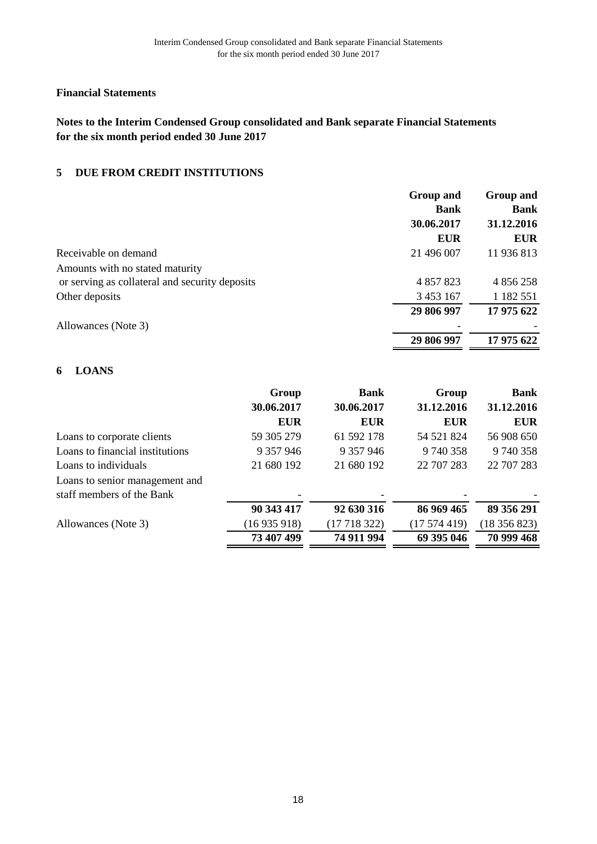# **Notes to the Interim Condensed Group consolidated and Bank separate Financial Statements for the six month period ended 30 June 2017**

#### **DUE FROM CREDIT INSTITUTIONS 5**

|                                                | <b>Group and</b> | Group and   |
|------------------------------------------------|------------------|-------------|
|                                                | <b>Bank</b>      | <b>Bank</b> |
|                                                | 30.06.2017       | 31.12.2016  |
|                                                | <b>EUR</b>       | <b>EUR</b>  |
| Receivable on demand                           | 21 496 007       | 11 936 813  |
| Amounts with no stated maturity                |                  |             |
| or serving as collateral and security deposits | 4 857 823        | 4 856 258   |
| Other deposits                                 | 3 453 167        | 1 182 551   |
|                                                | 29 806 997       | 17 975 622  |
| Allowances (Note 3)                            |                  |             |
|                                                | 29 806 997       | 17 975 622  |

## **LOANS 6**

|                                 | Group      | <b>Bank</b> | Group      | <b>Bank</b> |
|---------------------------------|------------|-------------|------------|-------------|
|                                 | 30.06.2017 | 30.06.2017  | 31.12.2016 | 31.12.2016  |
|                                 | <b>EUR</b> | <b>EUR</b>  | <b>EUR</b> | <b>EUR</b>  |
| Loans to corporate clients      | 59 305 279 | 61 592 178  | 54 521 824 | 56 908 650  |
| Loans to financial institutions | 9 357 946  | 9 357 946   | 9740358    | 9 740 358   |
| Loans to individuals            | 21 680 192 | 21 680 192  | 22 707 283 | 22 707 283  |
| Loans to senior management and  |            |             |            |             |
| staff members of the Bank       |            |             |            |             |
|                                 | 90 343 417 | 92 630 316  | 86 969 465 | 89 356 291  |
| Allowances (Note 3)             | (16935918) | (17718322)  | (17574419) | (18356823)  |
|                                 | 73 407 499 | 74 911 994  | 69 395 046 | 70 999 468  |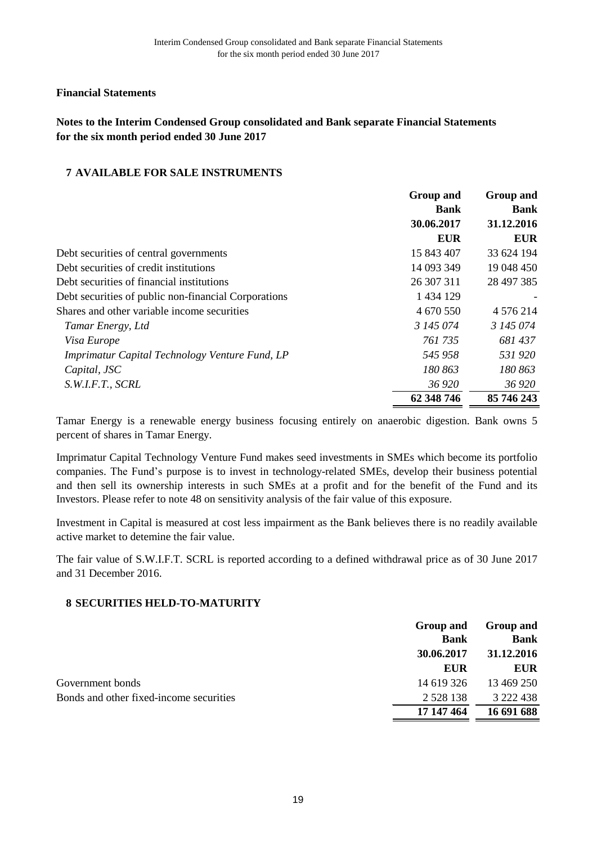# **Notes to the Interim Condensed Group consolidated and Bank separate Financial Statements for the six month period ended 30 June 2017**

## **AVAILABLE FOR SALE INSTRUMENTS 7**

|                                                      | <b>Group and</b> | <b>Group and</b> |
|------------------------------------------------------|------------------|------------------|
|                                                      | <b>Bank</b>      | <b>Bank</b>      |
|                                                      | 30.06.2017       | 31.12.2016       |
|                                                      | <b>EUR</b>       | <b>EUR</b>       |
| Debt securities of central governments               | 15 843 407       | 33 624 194       |
| Debt securities of credit institutions               | 14 093 349       | 19 048 450       |
| Debt securities of financial institutions            | 26 307 311       | 28 497 385       |
| Debt securities of public non-financial Corporations | 1 434 129        |                  |
| Shares and other variable income securities          | 4 670 550        | 4 576 214        |
| Tamar Energy, Ltd                                    | 3 145 074        | 3 145 074        |
| Visa Europe                                          | 761 735          | 681 437          |
| Imprimatur Capital Technology Venture Fund, LP       | 545 958          | 531920           |
| Capital, JSC                                         | 180 863          | 180 863          |
| S.W.I.F.T., SCRL                                     | 36 920           | 36 920           |
|                                                      | 62 348 746       | 85 746 243       |

Tamar Energy is a renewable energy business focusing entirely on anaerobic digestion. Bank owns 5 percent of shares in Tamar Energy.

Imprimatur Capital Technology Venture Fund makes seed investments in SMEs which become its portfolio companies. Тhe Fund's purpose is to invest in technology-related SMEs, develop their business potential and then sell its ownership interests in such SMEs at a profit and for the benefit of the Fund and its Investors. Please refer to note 48 on sensitivity analysis of the fair value of this exposure.

Investment in Capital is measured at cost less impairment as the Bank believes there is no readily available active market to detemine the fair value.

The fair value of S.W.I.F.T. SCRL is reported according to a defined withdrawal price as of 30 June 2017 and 31 December 2016.

## **SECURITIES HELD-TO-MATURITY 8**

|                                         | <b>Group and</b><br><b>Bank</b> | <b>Group and</b><br><b>Bank</b> |
|-----------------------------------------|---------------------------------|---------------------------------|
|                                         | 30.06.2017                      | 31.12.2016                      |
|                                         | <b>EUR</b>                      | EUR                             |
| Government bonds                        | 14 619 326                      | 13 469 250                      |
| Bonds and other fixed-income securities | 2 5 2 8 1 3 8                   | 3 222 438                       |
|                                         | 17 147 464                      | 16 691 688                      |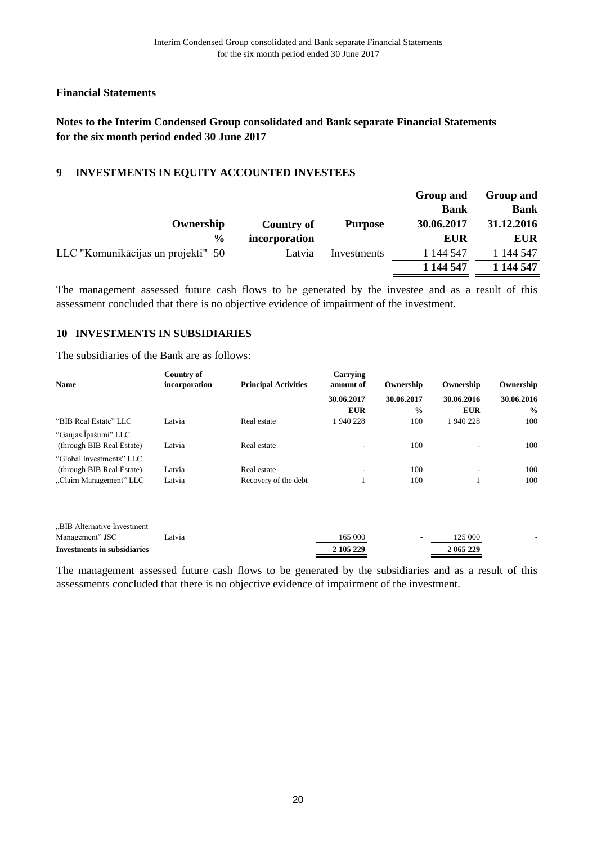## **Notes to the Interim Condensed Group consolidated and Bank separate Financial Statements for the six month period ended 30 June 2017**

#### **INVESTMENTS IN EQUITY ACCOUNTED INVESTEES 9**

|               |                | Group and   | <b>Group and</b> |
|---------------|----------------|-------------|------------------|
|               |                | <b>Bank</b> | <b>Bank</b>      |
| Country of    | <b>Purpose</b> | 30.06.2017  | 31.12.2016       |
| incorporation |                | <b>EUR</b>  | <b>EUR</b>       |
| Latvia        | Investments    | 1 144 547   | 1 144 547        |
|               |                | 1 144 547   | 1 144 547        |
|               |                |             |                  |

The management assessed future cash flows to be generated by the investee and as a result of this assessment concluded that there is no objective evidence of impairment of the investment.

#### **INVESTMENTS IN SUBSIDIARIES 10**

The subsidiaries of the Bank are as follows:

|                                                   | Country of    |                             | Carrying                 |               |            |               |
|---------------------------------------------------|---------------|-----------------------------|--------------------------|---------------|------------|---------------|
| <b>Name</b>                                       | incorporation | <b>Principal Activities</b> | amount of                | Ownership     | Ownership  | Ownership     |
|                                                   |               |                             | 30.06.2017               | 30.06.2017    | 30.06.2016 | 30.06.2016    |
|                                                   |               |                             | <b>EUR</b>               | $\frac{1}{2}$ | <b>EUR</b> | $\frac{0}{0}$ |
| "BIB Real Estate" LLC                             | Latvia        | Real estate                 | 1940228                  | 100           | 1940228    | 100           |
| "Gaujas Īpašumi" LLC<br>(through BIB Real Estate) | Latvia        | Real estate                 |                          | 100           | ۰.         | 100           |
| "Global Investments" LLC                          |               |                             |                          |               |            |               |
| (through BIB Real Estate)                         | Latvia        | Real estate                 | $\overline{\phantom{a}}$ | 100           | ۰          | 100           |
| "Claim Management" LLC                            | Latvia        | Recovery of the debt        |                          | 100           |            | 100           |

| Investments in subsidiaries |        | 2 105 229 | 2 065 229 |  |
|-----------------------------|--------|-----------|-----------|--|
| Management" JSC             | Latvia | 165 000   | 125 000   |  |
| "BIB Alternative Investment |        |           |           |  |

The management assessed future cash flows to be generated by the subsidiaries and as a result of this assessments concluded that there is no objective evidence of impairment of the investment.

-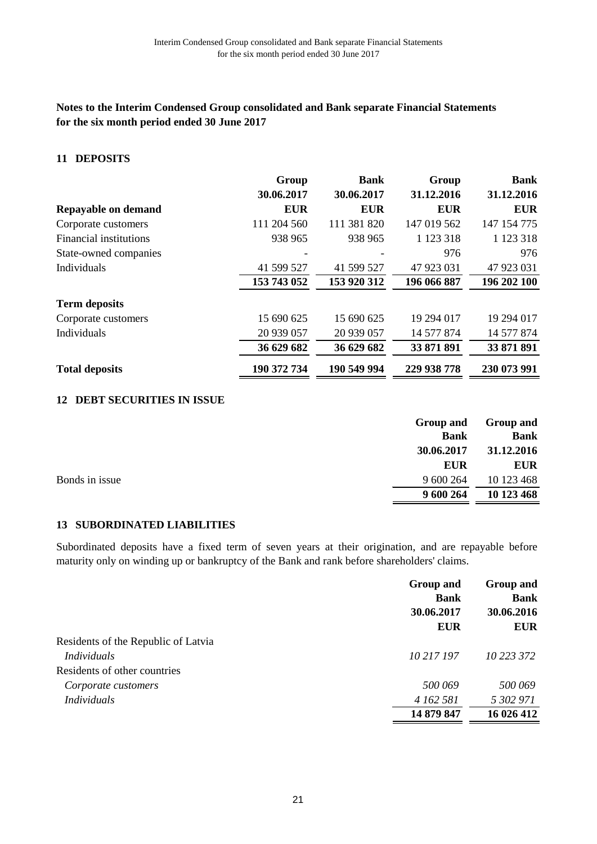## **Notes to the Interim Condensed Group consolidated and Bank separate Financial Statements for the six month period ended 30 June 2017**

## **DEPOSITS 11**

|                        | Group       | <b>Bank</b> | Group       | <b>Bank</b> |
|------------------------|-------------|-------------|-------------|-------------|
|                        | 30.06.2017  | 30.06.2017  | 31.12.2016  | 31.12.2016  |
| Repayable on demand    | <b>EUR</b>  | <b>EUR</b>  | <b>EUR</b>  | <b>EUR</b>  |
| Corporate customers    | 111 204 560 | 111 381 820 | 147 019 562 | 147 154 775 |
| Financial institutions | 938 965     | 938 965     | 1 123 318   | 1 123 318   |
| State-owned companies  |             |             | 976         | 976         |
| Individuals            | 41 599 527  | 41 599 527  | 47 923 031  | 47 923 031  |
|                        | 153 743 052 | 153 920 312 | 196 066 887 | 196 202 100 |
| <b>Term deposits</b>   |             |             |             |             |
| Corporate customers    | 15 690 625  | 15 690 625  | 19 294 017  | 19 294 017  |
| Individuals            | 20 939 057  | 20 939 057  | 14 577 874  | 14 577 874  |
|                        | 36 629 682  | 36 629 682  | 33 871 891  | 33 871 891  |
| <b>Total deposits</b>  | 190 372 734 | 190 549 994 | 229 938 778 | 230 073 991 |

## **DEBT SECURITIES IN ISSUE 12**

|                | Group and   | Group and   |
|----------------|-------------|-------------|
|                | <b>Bank</b> | <b>Bank</b> |
|                | 30.06.2017  | 31.12.2016  |
|                | <b>EUR</b>  | <b>EUR</b>  |
| Bonds in issue | 9 600 264   | 10 123 468  |
|                | 9 600 264   | 10 123 468  |

## **SUBORDINATED LIABILITIES 13**

Subordinated deposits have a fixed term of seven years at their origination, and are repayable before maturity only on winding up or bankruptcy of the Bank and rank before shareholders' claims.

|                                     | Group and   | Group and<br><b>Bank</b> |  |
|-------------------------------------|-------------|--------------------------|--|
|                                     | <b>Bank</b> |                          |  |
|                                     | 30.06.2017  | 30.06.2016<br><b>EUR</b> |  |
|                                     | <b>EUR</b>  |                          |  |
| Residents of the Republic of Latvia |             |                          |  |
| <b>Individuals</b>                  | 10 217 197  | 10 223 372               |  |
| Residents of other countries        |             |                          |  |
| Corporate customers                 | 500 069     | 500 069                  |  |
| <i>Individuals</i>                  | 4 162 581   | 5 302 971                |  |
|                                     | 14 879 847  | 16 026 412               |  |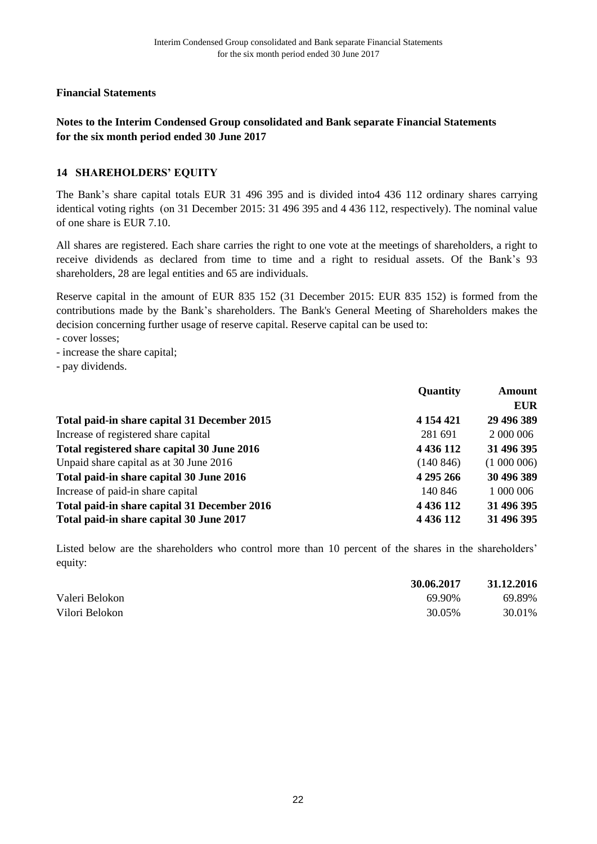## **Notes to the Interim Condensed Group consolidated and Bank separate Financial Statements for the six month period ended 30 June 2017**

## **SHAREHOLDERS' EQUITY 14**

The Вank's share capital totals EUR 31 496 395 and is divided into4 436 112 ordinary shares carrying identical voting rights (оn 31 December 2015: 31 496 395 and 4 436 112, respectively). The nominal value of one share is EUR 7.10.

All shares are registered. Each share carries the right to one vote at the meetings of shareholders, a right to receive dividends as declared from time to time and a right to residual assets. Of the Bank's 93 shareholders, 28 are legal entities and 65 are individuals.

Reserve capital in the amount of EUR 835 152 (31 December 2015: EUR 835 152) is formed from the contributions made by the Bank's shareholders. The Bank's General Meeting of Shareholders makes the decision concerning further usage of reserve capital. Reserve capital can be used to:

- cover losses;

- increase the share capital;
- pay dividends.

|                                              | <b>Quantity</b> | <b>Amount</b> |  |
|----------------------------------------------|-----------------|---------------|--|
|                                              |                 | <b>EUR</b>    |  |
| Total paid-in share capital 31 December 2015 | 4 154 421       | 29 496 389    |  |
| Increase of registered share capital         | 281 691         | 2 000 006     |  |
| Total registered share capital 30 June 2016  | 4 436 112       | 31 496 395    |  |
| Unpaid share capital as at 30 June 2016      | (140846)        | (1000006)     |  |
| Total paid-in share capital 30 June 2016     | 4 295 266       | 30 496 389    |  |
| Increase of paid-in share capital            | 140 846         | 1 000 006     |  |
| Total paid-in share capital 31 December 2016 | 4 4 3 6 1 1 2   | 31 496 395    |  |
| Total paid-in share capital 30 June 2017     | 4 436 112       | 31 496 395    |  |

Listed below are the shareholders who control more than 10 percent of the shares in the shareholders' equity:

|                | 30.06.2017 | 31.12.2016 |
|----------------|------------|------------|
| Valeri Belokon | 69.90%     | 69.89%     |
| Vilori Belokon | 30.05%     | 30.01%     |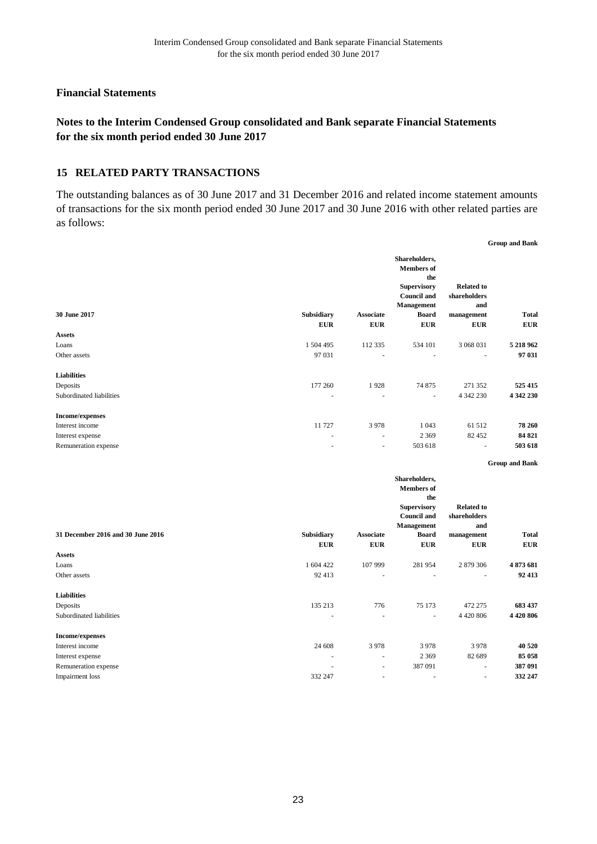## **Notes to the Interim Condensed Group consolidated and Bank separate Financial Statements for the six month period ended 30 June 2017**

#### 15 RELATED PARTY TRANSACTIONS

The outstanding balances as of 30 June 2017 and 31 December 2016 and related income statement amounts of transactions for the six month period ended 30 June 2017 and 30 June 2016 with other related parties are as follows:

**Group and Bank**

| 30 June 2017                      | Subsidiary     | <b>Associate</b> | Shareholders,<br><b>Members</b> of<br>the<br><b>Supervisory</b><br><b>Council and</b><br>Management<br><b>Board</b> | <b>Related to</b><br>shareholders<br>and<br>management | <b>Total</b>          |
|-----------------------------------|----------------|------------------|---------------------------------------------------------------------------------------------------------------------|--------------------------------------------------------|-----------------------|
|                                   | <b>EUR</b>     | <b>EUR</b>       | ${\bf E} {\bf U} {\bf R}$                                                                                           | <b>EUR</b>                                             | <b>EUR</b>            |
| <b>Assets</b>                     |                |                  |                                                                                                                     |                                                        |                       |
| Loans                             | 1 504 495      | 112 335          | 534 101                                                                                                             | 3 068 031                                              | 5 218 962             |
| Other assets                      | 97 031         | ÷,               | ä,                                                                                                                  | ÷.                                                     | 97 031                |
| <b>Liabilities</b>                |                |                  |                                                                                                                     |                                                        |                       |
| Deposits                          | 177 260        | 1928             | 74 875                                                                                                              | 271 352                                                | 525 415               |
| Subordinated liabilities          | $\overline{a}$ | ÷.               | ÷.                                                                                                                  | 4 342 230                                              | 4 342 230             |
| <b>Income/expenses</b>            |                |                  |                                                                                                                     |                                                        |                       |
| Interest income                   | 11 727         | 3978             | 1 0 4 3                                                                                                             | 61 512                                                 | 78 260                |
| Interest expense                  |                | $\omega$         | 2 3 6 9                                                                                                             | 82 452                                                 | 84 821                |
| Remuneration expense              |                | ä,               | 503 618                                                                                                             |                                                        | 503 618               |
|                                   |                |                  |                                                                                                                     |                                                        | <b>Group and Bank</b> |
|                                   |                |                  | Shareholders,<br><b>Members</b> of<br>the<br><b>Supervisory</b>                                                     | <b>Related to</b>                                      |                       |
|                                   |                |                  | <b>Council and</b><br>Management                                                                                    | shareholders<br>and                                    |                       |
| 31 December 2016 and 30 June 2016 | Subsidiary     | Associate        | <b>Board</b>                                                                                                        | management                                             | <b>Total</b>          |
|                                   | <b>EUR</b>     | <b>EUR</b>       | ${\bf E} {\bf U} {\bf R}$                                                                                           | <b>EUR</b>                                             | <b>EUR</b>            |
| <b>Assets</b>                     |                |                  |                                                                                                                     |                                                        |                       |
| Loans                             | 1 604 422      | 107 999          | 281 954                                                                                                             | 2 879 306                                              | 4873681               |
| Other assets                      | 92 413         | ÷,               | ÷,                                                                                                                  |                                                        | 92 413                |
| <b>Liabilities</b>                |                |                  |                                                                                                                     |                                                        |                       |
| Deposits                          | 135 213        | 776              | 75 173                                                                                                              | 472 275                                                | 683 437               |
| Subordinated liabilities          |                | $\sim$           | $\overline{\phantom{a}}$                                                                                            | 4 4 20 8 06                                            | 4 4 20 8 06           |
| Income/evnences                   |                |                  |                                                                                                                     |                                                        |                       |

| 40 520  |
|---------|
| 85 058  |
| 387 091 |
| 332 247 |
|         |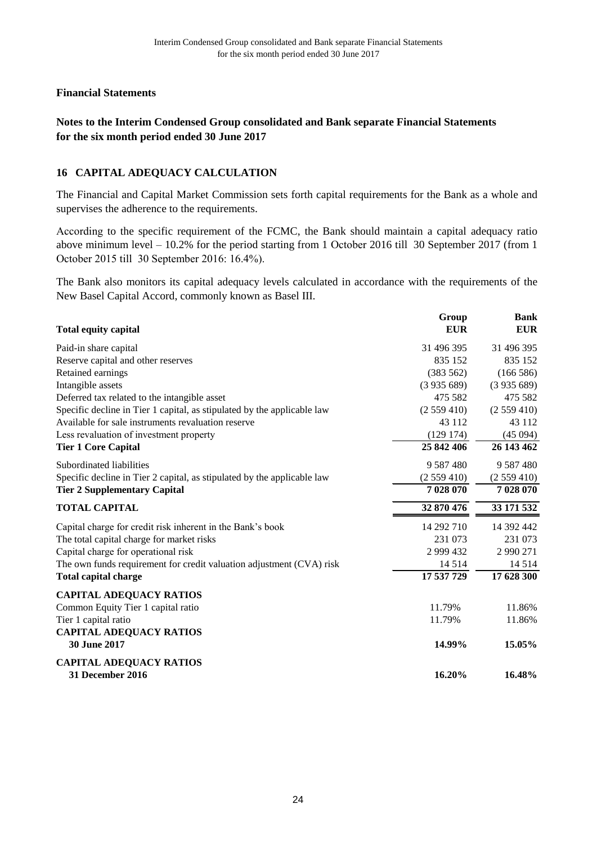## **Notes to the Interim Condensed Group consolidated and Bank separate Financial Statements for the six month period ended 30 June 2017**

## **CAPITAL ADEQUACY CALCULATION 16**

The Financial and Capital Market Commission sets forth capital requirements for the Bank as a whole and supervises the adherence to the requirements.

Аccording to the specific requirement of the FCMC, the Bank should maintain a capital adequacy ratio above minimum level – 10.2% for the period starting from 1 Оctober 2016 till 30 September 2017 (from 1 Оctober 2015 till 30 September 2016: 16.4%).

The Bank also monitors its capital adequacy levels calculated in accordance with the requirements of the New Basel Capital Accord, commonly known as Basel III.

| <b>Total equity capital</b>                                             | Group<br><b>EUR</b> | <b>Bank</b><br><b>EUR</b> |
|-------------------------------------------------------------------------|---------------------|---------------------------|
| Paid-in share capital                                                   | 31 496 395          | 31 496 395                |
| Reserve capital and other reserves                                      | 835 152             | 835 152                   |
| Retained earnings                                                       | (383 562)           | (166586)                  |
| Intangible assets                                                       | (3935689)           | (3935689)                 |
| Deferred tax related to the intangible asset                            | 475 582             | 475 582                   |
| Specific decline in Tier 1 capital, as stipulated by the applicable law | (2559410)           | (2559410)                 |
| Available for sale instruments revaluation reserve                      | 43 112              | 43 112                    |
| Less revaluation of investment property                                 | (129174)            | (45094)                   |
| <b>Tier 1 Core Capital</b>                                              | 25 842 406          | 26 143 462                |
| Subordinated liabilities                                                | 9 5 8 7 4 8 0       | 9 5 8 7 4 8 0             |
| Specific decline in Tier 2 capital, as stipulated by the applicable law | (2559410)           | (2559410)                 |
| <b>Tier 2 Supplementary Capital</b>                                     | 7 028 070           | 7 028 070                 |
| <b>TOTAL CAPITAL</b>                                                    | 32 870 476          | 33 171 532                |
| Capital charge for credit risk inherent in the Bank's book              | 14 292 710          | 14 392 442                |
| The total capital charge for market risks                               | 231 073             | 231 073                   |
| Capital charge for operational risk                                     | 2 999 432           | 2 990 271                 |
| The own funds requirement for credit valuation adjustment (CVA) risk    | 14 5 14             | 14 5 14                   |
| <b>Total capital charge</b>                                             | 17 537 729          | 17 628 300                |
| <b>CAPITAL ADEQUACY RATIOS</b>                                          |                     |                           |
| Common Equity Tier 1 capital ratio                                      | 11.79%              | 11.86%                    |
| Tier 1 capital ratio                                                    | 11.79%              | 11.86%                    |
| <b>CAPITAL ADEQUACY RATIOS</b>                                          |                     |                           |
| 30 June 2017                                                            | 14.99%              | 15.05%                    |
| <b>CAPITAL ADEQUACY RATIOS</b>                                          |                     |                           |
| <b>31 December 2016</b>                                                 | 16.20%              | 16.48%                    |